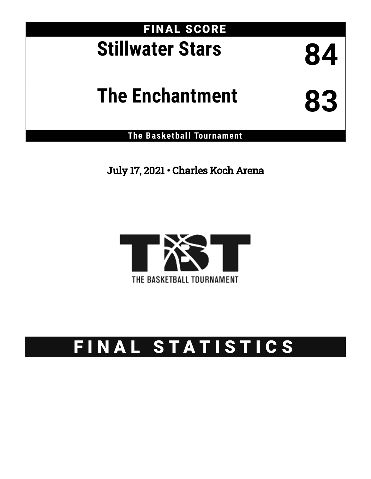## FINAL SCORE **Stillwater Stars 84**

# **The Enchantment 83**

**The Basketball Tournament**

July 17, 2021 • Charles Koch Arena



## FINAL STATISTICS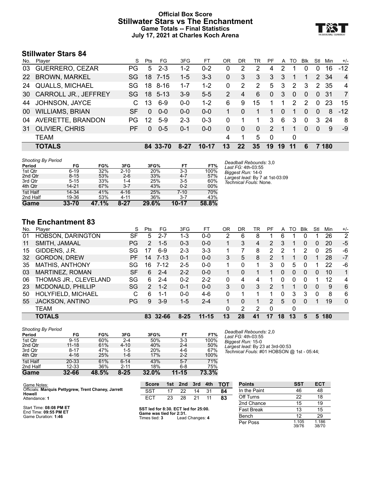#### **Official Box Score Stillwater Stars vs The Enchantment Game Totals -- Final Statistics July 17, 2021 at Charles Koch Arena**



## **Stillwater Stars 84**

| No.       | Player                  | S.  | Pts          | FG.      | 3FG     | FT      | ΟR            | DR       | TR       | PF            | A  | TO       | <b>Blk</b> | Stl      | Min          | $+/-$          |
|-----------|-------------------------|-----|--------------|----------|---------|---------|---------------|----------|----------|---------------|----|----------|------------|----------|--------------|----------------|
| 03        | <b>GUERRERO, CEZAR</b>  | PG. | 5            | $2 - 3$  | $1 - 2$ | $0 - 2$ | 0             | 2        | 2        | 4             | 2  |          | 0          | 0        | 16           | $-12$          |
| <b>22</b> | <b>BROWN, MARKEL</b>    | SG. | 18           | $7 - 15$ | $1 - 5$ | $3 - 3$ | 0             | 3        | 3        | 3             | 3  |          |            | 2        | -34          | $\overline{4}$ |
| 24        | <b>QUALLS, MICHAEL</b>  | SG  | 18           | 8-16     | $1 - 7$ | $1 - 2$ | 0             | 2        | 2        | 5             | 3  | 2        | 3          | 2        | 35           | 4              |
|           | 30 CARROLL JR., JEFFREY | SG. |              | 18 5-13  | $3-9$   | $5 - 5$ | $\mathcal{P}$ | 4        | 6        | $\mathbf{0}$  | 3  | $\Omega$ | $\Omega$   | $\Omega$ | -31          | 7              |
| 44        | JOHNSON, JAYCE          | C.  | 13           | $6-9$    | $0 - 0$ | $1 - 2$ | 6             | 9        | 15       |               |    | 2        | 2          | $\Omega$ | 23           | 15             |
| 00        | <b>WILLIAMS, BRIAN</b>  | SF  | $\Omega$     | $0 - 0$  | $0 - 0$ | $0 - 0$ |               | $\Omega$ |          |               | 0  |          | $\Omega$   | $\Omega$ | 8            | $-12$          |
| 04        | AVERETTE, BRANDON       | PG. | 12           | $5-9$    | $2 - 3$ | $0 - 3$ | 0             |          | 1        | 3             | 6  | 3        | $\Omega$   | 3        | 24           | 8              |
| 31        | <b>OLIVIER, CHRIS</b>   | РF  | <sup>0</sup> | $0 - 5$  | $0 - 1$ | $0 - 0$ | 0             | $\Omega$ | $\Omega$ | $\mathcal{P}$ |    |          | $\Omega$   | 0        | 9            | -9             |
|           | <b>TEAM</b>             |     |              |          |         |         | 4             | 1        | 5        | $\Omega$      |    | 0        |            |          |              |                |
|           | <b>TOTALS</b>           |     |              | 84 33-70 | 8-27    | 10-17   | 13            | 22       | 35       | 19            | 19 | 11       |            |          | <b>180</b> ່ |                |

| Game                      | $33 - 70$ | 47.1% | $8 - 27$ | 29.6% | 10-17   | 58.8% |                                              |
|---------------------------|-----------|-------|----------|-------|---------|-------|----------------------------------------------|
| 2nd Half                  | 19-36     | 53%   | $4 - 11$ | 36%   | $3 - 7$ | 43%   |                                              |
| 1st Half                  | 14-34     | 41%   | $4 - 16$ | 25%   | 7-10    | 70%   |                                              |
| 4th Qtr                   | 14-21     | 67%   | $3 - 7$  | 43%   | $0 - 2$ | 00%   |                                              |
| 3rd Qtr                   | $5 - 15$  | 33%   | 1-4      | 25%   | $3-5$   | 60%   | Technical Fouls: None.                       |
| 2nd Qtr                   | $8 - 15$  | 53%   | $2 - 6$  | 33%   | $4 - 7$ | 57%   | Largest lead: By 7 at 1st-03:09              |
| 1st Qtr                   | $6 - 19$  | 32%   | $2 - 10$ | 20%   | $3 - 3$ | 100%  | Biggest Run: 14-0                            |
| Period                    | FG        | FG%   | 3FG      | 3FG%  | FT      | FT%   | Deadball Rebounds: 3.0<br>Last FG: 4th-03:55 |
| <b>Shooting By Period</b> |           |       |          |       |         |       |                                              |

## **The Enchantment 83**

| No. | Plaver                   | S         | Pts            | FG       | 3FG      | FТ        | ΟR | DR | TR | PF             | A  | TO       | Blk | Stl      | Min | $+/-$        |
|-----|--------------------------|-----------|----------------|----------|----------|-----------|----|----|----|----------------|----|----------|-----|----------|-----|--------------|
| 01  | <b>HOBSON, DARINGTON</b> | SF        | 5              | $2 - 7$  | 1-3      | $0 - 0$   | っ  | 6  | 8  |                | 6  | 1        | 0   |          | 26  | 2            |
| 11  | SMITH, JAMAAL            | PG        | $\overline{2}$ | $1 - 5$  | $0 - 3$  | $0 - 0$   |    | 3  | 4  | $\overline{2}$ | 3  | 1        | 0   | 0        | 20  | $-5$         |
| 15  | GIDDENS, J.R.            | SG        | 17             | $6-9$    | $2 - 3$  | $3 - 3$   |    |    | 8  | 2              | 2  | 1        | 2   | 0        | 25  | -6           |
| 32  | <b>GORDON, DREW</b>      | РF        | 14             | 7-13     | $0 - 1$  | $0 - 0$   | 3  | 5  | 8  | 2              |    |          | 0   |          | 28  | $-7$         |
| 35  | <b>MATHIS, ANTHONY</b>   | SG        | 16             | $7 - 12$ | $2 - 5$  | $0 - 0$   |    | 0  | 1. | 3              | 0  | 5        | 0   |          | 22  | -6           |
| 03  | MARTINEZ, ROMAN          | <b>SF</b> | 6              | $2 - 4$  | $2 - 2$  | $0 - 0$   |    | 0  |    |                | 0  | 0        | 0   | 0        | 10  | $\mathbf 1$  |
| 06  | THOMAS JR., CLEVELAND    | SG        | 6              | $2 - 4$  | $0 - 2$  | $2 - 2$   | 0  | 4  | 4  |                | 0  | 0        | 0   |          | 12  | 4            |
| 23  | MCDONALD, PHILLIP        | SG        | $\mathcal{P}$  | $1 - 2$  | $0 - 1$  | $0 - 0$   | 3  | 0  | 3  | 2              |    | 1        | 0   | $\Omega$ | 9   | 6            |
| 50  | HOLYFIELD, MICHAEL       | С         | 6              | 1-1      | $0 - 0$  | $4-6$     | 0  |    |    |                |    | 3        | 3   | 0        | 8   | 6            |
| 55  | <b>JACKSON, ANTINO</b>   | <b>PG</b> | 9              | $3-9$    | $1 - 5$  | $2 - 4$   |    | 0  |    | 2              | 5  | $\Omega$ | 0   |          | 19  | $\mathbf{0}$ |
|     | <b>TEAM</b>              |           |                |          |          |           | 0  | 2  | 2  | $\Omega$       |    | 0        |     |          |     |              |
|     | <b>TOTALS</b>            |           | 83             | 32-66    | $8 - 25$ | $11 - 15$ | 13 | 28 | 41 | 17             | 18 | 13       | 5   | 5        | 180 |              |

| <b>Shooting By Period</b> |           |       |          |            |           |       |
|---------------------------|-----------|-------|----------|------------|-----------|-------|
| Period                    | FG        | FG%   | 3FG      | 3FG%       | FT        | FT%   |
| 1st Qtr                   | $9 - 15$  | 60%   | $2 - 4$  | 50%        | $3 - 3$   | 100%  |
| 2nd Qtr                   | $11 - 18$ | 61%   | $4 - 10$ | 40%        | $2 - 4$   | 50%   |
| 3rd Qtr                   | $8 - 17$  | 47%   | 1-5      | <b>20%</b> | 4-6       | 67%   |
| 4th Qtr                   | $4 - 16$  | 25%   | $1 - 6$  | 17%        | $2 - 2$   | 100%  |
| 1st Half                  | 20-33     | 61%   | $6 - 14$ | 43%        | $5 - 7$   | 71%   |
| 2nd Half                  | $12 - 33$ | 36%   | $2 - 11$ | 18%        | $6 - 8$   | 75%   |
| Game                      | $32 - 66$ | 48.5% | 8-25     | 32.0%      | $11 - 15$ | 73.3% |

*Deadball Rebounds:* 2,0 *Last FG:* 4th-03:55 *Biggest Run:* 15-0 *Largest lead:* By 23 at 3rd-00:53 *Technical Fouls:* #01 HOBSON @ 1st - 05:44;

| Game Notes:                                                             | <b>Score</b>                                                                                     |    | 1st 2nd 3rd 4th |    |      | <b>TOT</b> |  |
|-------------------------------------------------------------------------|--------------------------------------------------------------------------------------------------|----|-----------------|----|------|------------|--|
| Officials: Marquis Pettygrew, Trent Chaney, Jarrett<br>Howell           | <b>SST</b>                                                                                       | 17 | 22              | 14 | - 31 | 84         |  |
| Attendance: 1                                                           | FCT.                                                                                             |    | 23 28 21        |    | -11  | 83         |  |
| Start Time: 08:08 PM ET<br>End Time: 09:55 PM ET<br>Game Duration: 1:46 | SST led for 8:30. ECT led for 25:00.<br>Game was tied for 2:31.<br>Times tied: 3 Lead Changes: 4 |    |                 |    |      |            |  |

**SST led for 8:30. ECT led for 25:00. Game was tied for 2:31.** Times tied: **3** Lead Changes: **4**

| <b>Points</b>     | <b>SST</b>     | <b>ECT</b>     |
|-------------------|----------------|----------------|
| In the Paint      | 46             | 48             |
| Off Turns         | 22             | 18             |
| 2nd Chance        | 15             | 19             |
| <b>Fast Break</b> | 13             | 15             |
| Bench             | 12             | 29             |
| Per Poss          | 1.105<br>39/76 | 1.186<br>38/70 |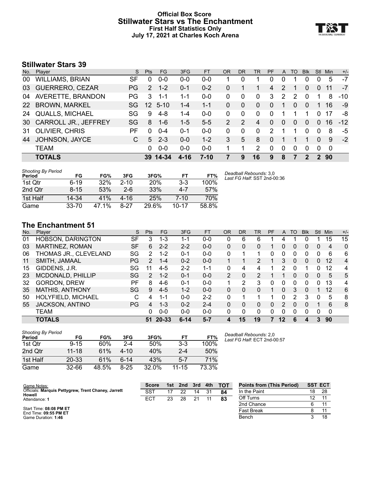#### **Official Box Score Stillwater Stars vs The Enchantment First Half Statistics Only July 17, 2021 at Charles Koch Arena**



## **Stillwater Stars 39**

| No.       | Player                      | S.        | <b>Pts</b>    | FG.             | 3FG      | <b>FT</b> | 0R | DR       | <b>TR</b>    | <b>PF</b>      | A             | TO            | <b>Blk</b>   | Stl      | Min  | $+/-$ |
|-----------|-----------------------------|-----------|---------------|-----------------|----------|-----------|----|----------|--------------|----------------|---------------|---------------|--------------|----------|------|-------|
| 00        | <b>WILLIAMS, BRIAN</b>      | SF        | 0             | $0 - 0$         | $0 - 0$  | $0 - 0$   |    | 0        |              | Ω              |               |               | 0            |          | 5    | $-7$  |
| 03        | <b>GUERRERO, CEZAR</b>      | <b>PG</b> | $\mathcal{P}$ | $1 - 2$         | $0 - 1$  | $0 - 2$   | 0  |          |              | $\overline{4}$ | 2             |               | $\Omega$     | $\Omega$ | 11   | $-7$  |
| 04        | AVERETTE, BRANDON           | PG        | 3             | $1 - 1$         | $1 - 1$  | $0-0$     | 0  | $\Omega$ | 0            | 3              | $\mathcal{P}$ | $\mathcal{P}$ | $\Omega$     |          | 8    | $-10$ |
| <b>22</b> | <b>BROWN, MARKEL</b>        | SG.       |               | $12 \quad 5-10$ | $1 - 4$  | $1 - 1$   | 0  | $\Omega$ | $\mathbf{0}$ | 0              |               | 0             | $\Omega$     |          | 16   | -9    |
| 24        | <b>QUALLS, MICHAEL</b>      | SG        | 9             | $4 - 8$         | $1 - 4$  | $0 - 0$   | 0  | $\Omega$ | 0            | 0              |               | 1             | 1            | 0        | 17   | -8    |
| 30 I      | <b>CARROLL JR., JEFFREY</b> | SG        | 8             | $1 - 6$         | $1 - 5$  | $5-5$     | 2  | 2        | 4            | 0              | $\Omega$      | 0             | <sup>0</sup> | $\Omega$ | 16   | $-12$ |
| -31       | <b>OLIVIER, CHRIS</b>       | РF        | $\Omega$      | $0 - 4$         | 0-1      | $0 - 0$   | 0  | $\Omega$ | $\Omega$     | 2              |               |               | 0            | $\Omega$ | 8    | -5    |
| 44        | JOHNSON, JAYCE              | C         | 5             | $2 - 3$         | $0 - 0$  | $1 - 2$   | 3  | 5        | 8            | 0              |               |               |              | 0        | 9    | $-2$  |
|           | <b>TEAM</b>                 |           | $\Omega$      | $0 - 0$         | $0 - 0$  | $0 - 0$   |    | 1        | 2            | $\Omega$       | $\Omega$      | $\Omega$      | $\Omega$     | $\Omega$ | 0    |       |
|           | <b>TOTALS</b>               |           | 39.           | $14 - 34$       | $4 - 16$ | $7 - 10$  |    | 9        | 16           | 9              | 8             |               | 2            |          | 2 90 |       |

| <b>Shooting By Period</b><br>Period | FG        | FG%   | 3FG      | 3FG%       | FT      | FT%   | Deadball Rebounds: 3,0      |
|-------------------------------------|-----------|-------|----------|------------|---------|-------|-----------------------------|
| 1st Qtr                             | $6 - 19$  | 32%   | $2 - 10$ | <b>20%</b> | $3-3$   | 100%  | Last FG Half: SST 2nd-00:36 |
| 2nd Qtr                             | $8 - 15$  | 53%   | $2 - 6$  | 33%        | $4 - 7$ | 57%   |                             |
| 1st Half                            | 14-34     | 41%   | 4-16     | 25%        | 7-10    | 70%   |                             |
| Game                                | $33 - 70$ | 47.1% | 8-27     | 29.6%      | 10-17   | 58.8% |                             |

## **The Enchantment 51**

| No. | Plaver                   | S         | <b>Pts</b> | FG      | 3FG      | <b>FT</b> | 0R       | DR | TR | PF | A        | TO | <b>Blk</b> | Stl      | Min | $+/-$          |
|-----|--------------------------|-----------|------------|---------|----------|-----------|----------|----|----|----|----------|----|------------|----------|-----|----------------|
| 01  | <b>HOBSON, DARINGTON</b> | SF        | 3          | $1 - 3$ | 1-1      | $0 - 0$   | 0        | 6  | 6  |    | 4        |    |            |          | 15  | 15             |
| 03  | MARTINEZ, ROMAN          | <b>SF</b> | 6          | $2 - 2$ | $2 - 2$  | $0 - 0$   | $\Omega$ | 0  | 0  |    | 0        | 0  | 0          | $\Omega$ | 4   | 0              |
| 06  | THOMAS JR., CLEVELAND    | SG        | 2          | $1 - 2$ | $0 - 1$  | $0 - 0$   | $\Omega$ |    | 1  | 0  | 0        | 0  | 0          | 0        | 6   | 6              |
| 11  | SMITH, JAMAAL            | PG.       | 2          | 1-4     | $0 - 2$  | $0 - 0$   |          |    | 2  |    | 3        | 0  | 0          | 0        | 12  | $\overline{4}$ |
| 15  | GIDDENS, J.R.            | SG        |            | $4 - 5$ | $2 - 2$  | $1 - 1$   | $\Omega$ | 4  | 4  |    |          | U  |            |          | 12  | 4              |
| 23  | MCDONALD, PHILLIP        | SG        | 2          | $1 - 2$ | $0 - 1$  | $0 - 0$   | 2        | 0  | 2  |    |          | 0  | 0          | 0        | 5   | 5              |
| 32  | <b>GORDON, DREW</b>      | РF        | 8          | $4-6$   | $0 - 1$  | $0 - 0$   | 1        | 2  | 3  | 0  | 0        | 0  | 0          | 0        | 13  | 4              |
| 35  | <b>MATHIS, ANTHONY</b>   | SG        | 9          | $4 - 5$ | $1 - 2$  | $0 - 0$   | $\Omega$ | 0  | 0  | 1  | $\Omega$ | 3  | 0          |          | 12  | 6              |
| 50  | HOLYFIELD, MICHAEL       | С         | 4          | 1-1     | $0 - 0$  | $2 - 2$   | $\Omega$ |    |    |    | $\Omega$ | 2  | 3          | $\Omega$ | 5   | 8              |
| 55  | <b>JACKSON, ANTINO</b>   | <b>PG</b> | 4          | 1-3     | $0 - 2$  | $2 - 4$   | $\Omega$ | 0  | 0  | 0  |          | 0  | 0          |          | 6   | 8              |
|     | <b>TEAM</b>              |           | 0          | $0 - 0$ | $0 - 0$  | $0 - 0$   | $\Omega$ | 0  | 0  | 0  |          | 0  | 0          | 0        | 0   |                |
|     | <b>TOTALS</b>            |           | 51         | 20-33   | $6 - 14$ | $5 - 7$   | 4        | 15 | 19 | 7  | 12       | 6  |            | 3        | 90  |                |

| <b>Shooting By Period</b> |           |       |          |       |         |            |
|---------------------------|-----------|-------|----------|-------|---------|------------|
| Period                    | FG        | FG%   | 3FG      | 3FG%  | FТ      | FT%        |
| 1st Otr                   | $9 - 15$  | 60%   | 2-4      | 50%   | $3 - 3$ | 100%       |
| 2nd Qtr                   | $11 - 18$ | 61%   | $4 - 10$ | 40%   | $2 - 4$ | 50%        |
| 1st Half                  | $20 - 33$ | 61%   | հ 14     | 43%   | $5 - 7$ | <b>71%</b> |
| Game                      | 32-66     | 48.5% | 8-25     | 32.0% | 11-15   | 73.3%      |

*Deadball Rebounds:* 2,0 *Last FG Half:* ECT 2nd-00:57

| Game Notes:                                                          | <b>Score</b> | 1st | 2 <sub>nd</sub> | 3rd | 4th | <b>TOT</b> | <b>Points from (This Period)</b> | <b>SST ECT</b> |    |
|----------------------------------------------------------------------|--------------|-----|-----------------|-----|-----|------------|----------------------------------|----------------|----|
| Officials: Marquis Pettygrew, Trent Chaney, Jarrett<br><b>Howell</b> | <b>SST</b>   |     | つつ              | 14  |     | 84         | In the Paint                     | 18             | 28 |
| Attendance: 1                                                        | <b>ECT</b>   | 23  | 28              | 21  |     | 83         | Off Turns                        | 12             |    |
|                                                                      |              |     |                 |     |     |            | 2nd Chance                       |                |    |
| Start Time: 08:08 PM ET<br>End Time: 09:55 PM ET                     |              |     |                 |     |     |            | <b>Fast Break</b>                |                |    |
| Game Duration: 1:46                                                  |              |     |                 |     |     |            | Bench                            |                | 18 |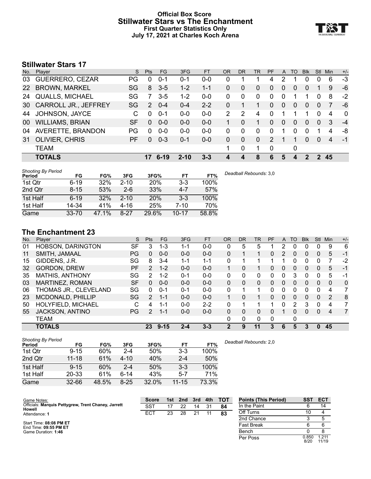#### **Official Box Score Stillwater Stars vs The Enchantment First Quarter Statistics Only July 17, 2021 at Charles Koch Arena**



## **Stillwater Stars 17**

| No. | Plaver                      | S  | Pts      | FG       | 3FG      | <b>FT</b> | <b>OR</b> | DR       | TR       | PF            | A        | TO       | <b>Blk</b> | Stl            | Min | $+/-$       |
|-----|-----------------------------|----|----------|----------|----------|-----------|-----------|----------|----------|---------------|----------|----------|------------|----------------|-----|-------------|
| 03  | GUERRERO, CEZAR             | PG | 0        | $0 - 1$  | $0 - 1$  | $0 - 0$   | 0         |          |          | 4             | 2        |          | 0          | $\Omega$       | 6   | $-3$        |
| 22  | <b>BROWN, MARKEL</b>        | SG | 8        | $3-5$    | $1 - 2$  | $1 - 1$   | 0         | 0        | 0        | 0             | 0        | 0        | 0          |                | 9   | -6          |
| 24  | <b>QUALLS, MICHAEL</b>      | SG |          | $3-5$    | $1 - 2$  | $0 - 0$   | 0         | $\Omega$ | 0        | 0             | 0        |          |            | $\Omega$       | 8   | $-2$        |
| 30  | <b>CARROLL JR., JEFFREY</b> | SG | 2        | $0 - 4$  | $0 - 4$  | $2 - 2$   | 0         |          |          | 0             | $\Omega$ | 0        | $\Omega$   | $\Omega$       |     | -6          |
| 44  | JOHNSON, JAYCE              | C. | $\Omega$ | $0 - 1$  | $0 - 0$  | $0 - 0$   | 2         | 2        | 4        | 0             |          |          |            | 0              | 4   | $\mathbf 0$ |
| 00  | <b>WILLIAMS, BRIAN</b>      | SF | $\Omega$ | $0 - 0$  | $0 - 0$  | $0 - 0$   |           | $\Omega$ | 1        | 0             | $\Omega$ | $\Omega$ | $\Omega$   | $\Omega$       | 3   | $-4$        |
| 04  | AVERETTE, BRANDON           | PG | $\Omega$ | $0 - 0$  | $0-0$    | $0-0$     | 0         | 0        | $\Omega$ | 0             |          | 0        | 0          |                | 4   | -8          |
| 31  | <b>OLIVIER, CHRIS</b>       | PF | $\Omega$ | $0 - 3$  | $0 - 1$  | $0 - 0$   | 0         | 0        | 0        | $\mathcal{P}$ |          | 1        | $\Omega$   | $\Omega$       | 4   | $-1$        |
|     | <b>TEAM</b>                 |    |          |          |          |           | 1         | 0        | 1        | 0             |          | 0        |            |                |     |             |
|     | <b>TOTALS</b>               |    | 17       | $6 - 19$ | $2 - 10$ | $3 - 3$   | 4         | 4        | 8        | 6             | 5        | 4        | 2          | $\overline{2}$ | 45  |             |

| <b>Shooting By Period</b> |           |       |          |            |           |       | Deadball Rebounds: 3,0 |
|---------------------------|-----------|-------|----------|------------|-----------|-------|------------------------|
| Period                    | FG        | FG%   | 3FG      | 3FG%       | FT        | FT%   |                        |
| 1st Qtr                   | $6 - 19$  | 32%   | $2 - 10$ | <b>20%</b> | 3-3       | 100%  |                        |
| 2nd Qtr                   | $8 - 15$  | 53%   | $2-6$    | 33%        | $4 - 7$   | 57%   |                        |
| 1st Half                  | $6 - 19$  | 32%   | $2 - 10$ | <b>20%</b> | 3-3       | 100%  |                        |
| 1st Half                  | 14-34     | 41%   | 4-16     | 25%        | 7-10      | 70%   |                        |
| Game                      | $33 - 70$ | 47.1% | $8-27$   | 29.6%      | $10 - 17$ | 58.8% |                        |

## **The Enchantment 23**

| No. | Plaver                   | S         | Pts           | <b>FG</b> | 3FG     | <b>FT</b> | 0R           | DR | <b>TR</b> | <b>PF</b> | A        | TO       | <b>Blk</b> | Stl          | Min      | $+/-$          |
|-----|--------------------------|-----------|---------------|-----------|---------|-----------|--------------|----|-----------|-----------|----------|----------|------------|--------------|----------|----------------|
| 01  | <b>HOBSON, DARINGTON</b> | SF        | 3             | 1-3       | 1-1     | $0-0$     | 0            | 5  | 5         |           | 2        |          | 0          | 0            | 9        | 6              |
| 11  | SMITH, JAMAAL            | PG        | 0             | $0 - 0$   | $0 - 0$ | $0 - 0$   | 0            |    |           | 0         | 2        | 0        | 0          | 0            | 5        | $-1$           |
| 15  | GIDDENS, J.R.            | SG        | 8             | $3 - 4$   | $1 - 1$ | $1 - 1$   | 0            |    |           |           |          |          | 0          | 0            |          | -2             |
| 32  | <b>GORDON, DREW</b>      | <b>PF</b> | $\mathcal{P}$ | $1 - 2$   | $0 - 0$ | $0 - 0$   |              | 0  | 1.        | 0         | 0        | 0        | 0          | 0            | 5        | $-1$           |
| 35  | <b>MATHIS, ANTHONY</b>   | SG        | 2             | $1 - 2$   | $0 - 1$ | $0 - 0$   | 0            | 0  | 0         | 0         | 0        | 3        | 0          | $\Omega$     | 5        | $-1$           |
| 03  | MARTINEZ, ROMAN          | <b>SF</b> | $\Omega$      | $0 - 0$   | $0 - 0$ | $0 - 0$   | $\Omega$     | 0  | 0         | 0         | 0        | $\Omega$ | 0          | $\Omega$     | $\Omega$ | $\Omega$       |
| 06  | THOMAS JR., CLEVELAND    | SG        | $\Omega$      | $0 - 1$   | 0-1     | $0 - 0$   | 0            |    | 1         | 0         | 0        | ∩        | 0          | 0            | 4        | 7              |
| 23  | <b>MCDONALD, PHILLIP</b> | SG        | $\mathcal{P}$ | $1 - 1$   | $0 - 0$ | $0 - 0$   |              | 0  |           | 0         | $\Omega$ | $\Omega$ | 0          | $\Omega$     | 2        | 8              |
| 50  | HOLYFIELD, MICHAEL       | С         | 4             | 1-1       | $0 - 0$ | $2 - 2$   | 0            |    | 4         |           | 0        | 2        | 3          | $\Omega$     | 4        | 7              |
| 55  | JACKSON, ANTINO          | PG        | 2             | $1 - 1$   | $0 - 0$ | $0 - 0$   | $\Omega$     | 0  | 0         | 0         |          | 0        | 0          | $\mathbf{0}$ | 4        | $\overline{7}$ |
|     | TEAM                     |           |               |           |         |           | 0            | 0  | 0         | 0         |          | 0        |            |              |          |                |
|     | <b>TOTALS</b>            |           | 23            | $9 - 15$  | $2 - 4$ | $3 - 3$   | $\mathbf{2}$ | 9  | 11        | 3         | 6        | 5        | 3          | n            | 45       |                |

| <b>Shooting By Period</b> |           |       |          |       |           |       |
|---------------------------|-----------|-------|----------|-------|-----------|-------|
| Period                    | FG        | FG%   | 3FG      | 3FG%  | FT        | FT%   |
| 1st Qtr                   | $9 - 15$  | 60%   | $2 - 4$  | 50%   | $3 - 3$   | 100%  |
| 2nd Qtr                   | $11 - 18$ | 61%   | $4 - 10$ | 40%   | $2 - 4$   | 50%   |
| 1st Half                  | $9 - 15$  | 60%   | $2 - 4$  | 50%   | $3-3$     | 100%  |
| 1st Half                  | 20-33     | 61%   | $6 - 14$ | 43%   | $5 - 7$   | 71%   |
| Game                      | $32 - 66$ | 48.5% | $8 - 25$ | 32.0% | $11 - 15$ | 73.3% |

*Deadball Rebounds:* 2,0

| Game Notes:                                                          | <b>Score</b> | 1st | 2nd | 3rd | 4th | <b>TOT</b> | <b>Points (This Period)</b> | SST           | <b>ECT</b>     |
|----------------------------------------------------------------------|--------------|-----|-----|-----|-----|------------|-----------------------------|---------------|----------------|
| Officials: Marquis Pettygrew, Trent Chaney, Jarrett<br><b>Howell</b> | SST          |     | 22  | 14  | 31  | 84         | In the Paint                |               | 14             |
| Attendance: 1                                                        | ECT          | 23  | 28  | 21  |     | 83         | Off Turns                   |               |                |
|                                                                      |              |     |     |     |     |            | 2nd Chance                  |               |                |
| Start Time: 08:08 PM ET<br>End Time: 09:55 PM ET                     |              |     |     |     |     |            | <b>Fast Break</b>           |               |                |
| Game Duration: 1:46                                                  |              |     |     |     |     |            | Bench                       |               |                |
|                                                                      |              |     |     |     |     |            | Per Poss                    | 0.850<br>8/20 | 1.211<br>11/19 |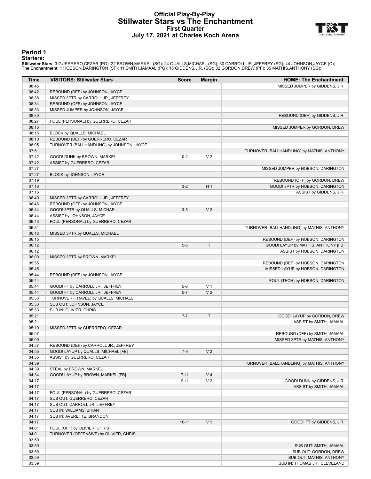#### **Official Play-By-Play Stillwater Stars vs The Enchantment First Quarter July 17, 2021 at Charles Koch Arena**



#### **Period 1**

#### **Starters:**

Stillwater Stars: 3 GUERRERO,CEZAR (PG); 22 BROWN,MARKEL (SG); 24 QUALLS,MICHAEL (SG); 30 CARROLL JR.,JEFFREY (SG); 44 JOHNSON,JAYCE (C);<br>The Enchantment: 1 HOBSON,DARINGTON (SF); 11 SMITH,JAMAAL (PG); 15 GIDDENS,J.R. (SG)

| Time           | <b>VISITORS: Stillwater Stars</b>                                             | <b>Score</b> | <b>Margin</b>  | <b>HOME: The Enchantment</b>               |
|----------------|-------------------------------------------------------------------------------|--------------|----------------|--------------------------------------------|
| 08:45          |                                                                               |              |                | MISSED JUMPER by GIDDENS, J.R.             |
| 08:42          | REBOUND (DEF) by JOHNSON, JAYCE                                               |              |                |                                            |
| 08:38          | MISSED 3PTR by CARROLL JR., JEFFREY                                           |              |                |                                            |
| 08:34          | REBOUND (OFF) by JOHNSON, JAYCE                                               |              |                |                                            |
| 08:33          | MISSED JUMPER by JOHNSON, JAYCE                                               |              |                |                                            |
| 08:30          |                                                                               |              |                | REBOUND (DEF) by GIDDENS, J.R.             |
| 08:27          | FOUL (PERSONAL) by GUERRERO, CEZAR                                            |              |                |                                            |
| 08:16          |                                                                               |              |                | MISSED JUMPER by GORDON, DREW              |
| 08:16          | BLOCK by QUALLS, MICHAEL                                                      |              |                |                                            |
| 08:10<br>08:05 | REBOUND (DEF) by GUERRERO, CEZAR<br>TURNOVER (BALLHANDLING) by JOHNSON, JAYCE |              |                |                                            |
| 07:51          |                                                                               |              |                | TURNOVER (BALLHANDLING) by MATHIS, ANTHONY |
| 07:42          | GOOD! DUNK by BROWN, MARKEL                                                   | $0 - 2$      | V <sub>2</sub> |                                            |
| 07:42          | ASSIST by GUERRERO, CEZAR                                                     |              |                |                                            |
| 07:27          |                                                                               |              |                | MISSED JUMPER by HOBSON, DARINGTON         |
| 07:27          | BLOCK by JOHNSON, JAYCE                                                       |              |                |                                            |
| 07:19          |                                                                               |              |                | REBOUND (OFF) by GORDON, DREW              |
| 07:16          |                                                                               | $3-2$        | H <sub>1</sub> | GOOD! 3PTR by HOBSON, DARINGTON            |
| 07:16          |                                                                               |              |                | ASSIST by GIDDENS, J.R.                    |
| 06:49          | MISSED 3PTR by CARROLL JR., JEFFREY                                           |              |                |                                            |
| 06:46          | REBOUND (OFF) by JOHNSON, JAYCE                                               |              |                |                                            |
| 06:44          | GOOD! 3PTR by QUALLS, MICHAEL                                                 | $3-5$        | V <sub>2</sub> |                                            |
| 06:44          | ASSIST by JOHNSON, JAYCE                                                      |              |                |                                            |
| 06:43          | FOUL (PERSONAL) by GUERRERO, CEZAR                                            |              |                |                                            |
| 06:31<br>06:18 | MISSED 3PTR by QUALLS, MICHAEL                                                |              |                | TURNOVER (BALLHANDLING) by MATHIS, ANTHONY |
| 06:15          |                                                                               |              |                | REBOUND (DEF) by HOBSON, DARINGTON         |
| 06:12          |                                                                               | $5-5$        | T              | GOOD! LAYUP by MATHIS, ANTHONY [FB]        |
| 06:12          |                                                                               |              |                | ASSIST by HOBSON, DARINGTON                |
| 06:00          | MISSED 3PTR by BROWN, MARKEL                                                  |              |                |                                            |
| 05:55          |                                                                               |              |                | REBOUND (DEF) by HOBSON, DARINGTON         |
| 05:45          |                                                                               |              |                | MISSED LAYUP by HOBSON, DARINGTON          |
| 05:44          | REBOUND (DEF) by JOHNSON, JAYCE                                               |              |                |                                            |
| 05:44          |                                                                               |              |                | FOUL (TECH) by HOBSON, DARINGTON           |
| 05:44          | GOOD! FT by CARROLL JR., JEFFREY                                              | $5-6$        | V <sub>1</sub> |                                            |
| 05:44          | GOOD! FT by CARROLL JR., JEFFREY                                              | $5 - 7$      | V <sub>2</sub> |                                            |
| 05:33          | TURNOVER (TRAVEL) by QUALLS, MICHAEL                                          |              |                |                                            |
| 05:33          | SUB OUT: JOHNSON, JAYCE                                                       |              |                |                                            |
| 05:33<br>05:21 | SUB IN: OLIVIER, CHRIS                                                        | $7 - 7$      | $\mathsf T$    | GOOD! LAYUP by GORDON, DREW                |
| 05:21          |                                                                               |              |                | ASSIST by SMITH, JAMAAL                    |
| 05:10          | MISSED 3PTR by GUERRERO, CEZAR                                                |              |                |                                            |
| 05:07          |                                                                               |              |                | REBOUND (DEF) by SMITH, JAMAAL             |
| 05:00          |                                                                               |              |                | MISSED 3PTR by MATHIS, ANTHONY             |
| 04:57          | REBOUND (DEF) by CARROLL JR., JEFFREY                                         |              |                |                                            |
| 04:55          | GOOD! LAYUP by QUALLS, MICHAEL [FB]                                           | $7-9$        | V <sub>2</sub> |                                            |
| 04:55          | ASSIST by GUERRERO, CEZAR                                                     |              |                |                                            |
| 04:39          |                                                                               |              |                | TURNOVER (BALLHANDLING) by MATHIS, ANTHONY |
| 04:39          | STEAL by BROWN, MARKEL                                                        |              |                |                                            |
| 04:34          | GOOD! LAYUP by BROWN, MARKEL [FB]                                             | $7 - 11$     | V <sub>4</sub> |                                            |
| 04:17          |                                                                               | $9 - 11$     | V <sub>2</sub> | GOOD! DUNK by GIDDENS, J.R.                |
| 04:17<br>04:17 | FOUL (PERSONAL) by GUERRERO, CEZAR                                            |              |                | ASSIST by SMITH, JAMAAL                    |
| 04:17          | SUB OUT: GUERRERO, CEZAR                                                      |              |                |                                            |
| 04:17          | SUB OUT: CARROLL JR., JEFFREY                                                 |              |                |                                            |
| 04:17          | SUB IN: WILLIAMS, BRIAN                                                       |              |                |                                            |
| 04:17          | SUB IN: AVERETTE, BRANDON                                                     |              |                |                                            |
| 04:17          |                                                                               | $10 - 11$    | V <sub>1</sub> | GOOD! FT by GIDDENS, J.R.                  |
| 04:01          | FOUL (OFF) by OLIVIER, CHRIS                                                  |              |                |                                            |
| 04:01          | TURNOVER (OFFENSIVE) by OLIVIER, CHRIS                                        |              |                |                                            |
| 03:59          |                                                                               |              |                |                                            |
| 03:59          |                                                                               |              |                | SUB OUT: SMITH, JAMAAL                     |
| 03:59          |                                                                               |              |                | SUB OUT: GORDON, DREW                      |
| 03:59          |                                                                               |              |                | SUB OUT: MATHIS, ANTHONY                   |
| 03:59          |                                                                               |              |                | SUB IN: THOMAS JR., CLEVELAND              |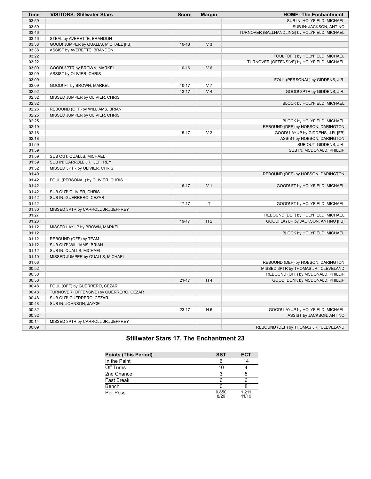| <b>Time</b> | <b>VISITORS: Stillwater Stars</b>       | <b>Score</b> | <b>Margin</b>  | <b>HOME: The Enchantment</b>                  |
|-------------|-----------------------------------------|--------------|----------------|-----------------------------------------------|
| 03:59       |                                         |              |                | SUB IN: HOLYFIELD, MICHAEL                    |
| 03:59       |                                         |              |                | SUB IN: JACKSON, ANTINO                       |
| 03:46       |                                         |              |                | TURNOVER (BALLHANDLING) by HOLYFIELD, MICHAEL |
| 03:46       | STEAL by AVERETTE, BRANDON              |              |                |                                               |
| 03:38       | GOOD! JUMPER by QUALLS, MICHAEL [FB]    | $10-13$      | V <sub>3</sub> |                                               |
| 03:38       | ASSIST by AVERETTE, BRANDON             |              |                |                                               |
| 03:22       |                                         |              |                | FOUL (OFF) by HOLYFIELD, MICHAEL              |
| 03:22       |                                         |              |                | TURNOVER (OFFENSIVE) by HOLYFIELD, MICHAEL    |
| 03:09       | GOOD! 3PTR by BROWN, MARKEL             | $10 - 16$    | $V_6$          |                                               |
| 03:09       | ASSIST by OLIVIER, CHRIS                |              |                |                                               |
| 03:09       |                                         |              |                | FOUL (PERSONAL) by GIDDENS, J.R.              |
| 03:09       | GOOD! FT by BROWN, MARKEL               | $10 - 17$    | V <sub>7</sub> |                                               |
| 02:52       |                                         | $13 - 17$    | V <sub>4</sub> | GOOD! 3PTR by GIDDENS, J.R.                   |
| 02:32       | MISSED JUMPER by OLIVIER, CHRIS         |              |                |                                               |
| 02:32       |                                         |              |                | BLOCK by HOLYFIELD, MICHAEL                   |
| 02:26       | REBOUND (OFF) by WILLIAMS, BRIAN        |              |                |                                               |
| 02:25       | MISSED JUMPER by OLIVIER, CHRIS         |              |                |                                               |
| 02:25       |                                         |              |                | BLOCK by HOLYFIELD, MICHAEL                   |
| 02:19       |                                         |              |                | REBOUND (DEF) by HOBSON, DARINGTON            |
| 02:18       |                                         | $15 - 17$    | V <sub>2</sub> | GOOD! LAYUP by GIDDENS, J.R. [FB]             |
| 02:18       |                                         |              |                | ASSIST by HOBSON, DARINGTON                   |
| 01:59       |                                         |              |                | SUB OUT: GIDDENS, J.R.                        |
| 01:59       |                                         |              |                | SUB IN: MCDONALD, PHILLIP                     |
| 01:59       | SUB OUT: QUALLS, MICHAEL                |              |                |                                               |
| 01:59       | SUB IN: CARROLL JR., JEFFREY            |              |                |                                               |
| 01:52       | MISSED 3PTR by OLIVIER, CHRIS           |              |                |                                               |
| 01:49       |                                         |              |                | REBOUND (DEF) by HOBSON, DARINGTON            |
| 01:42       | FOUL (PERSONAL) by OLIVIER, CHRIS       |              |                |                                               |
| 01:42       |                                         | $16-17$      | V <sub>1</sub> | GOOD! FT by HOLYFIELD, MICHAEL                |
| 01:42       | SUB OUT: OLIVIER, CHRIS                 |              |                |                                               |
| 01:42       | SUB IN: GUERRERO, CEZAR                 |              |                |                                               |
| 01:42       |                                         | $17 - 17$    | T              | GOOD! FT by HOLYFIELD, MICHAEL                |
| 01:30       | MISSED 3PTR by CARROLL JR., JEFFREY     |              |                |                                               |
| 01:27       |                                         |              |                | REBOUND (DEF) by HOLYFIELD, MICHAEL           |
| 01:23       |                                         | 19-17        | H <sub>2</sub> | GOOD! LAYUP by JACKSON, ANTINO [FB]           |
| 01:12       | MISSED LAYUP by BROWN, MARKEL           |              |                |                                               |
| 01:12       |                                         |              |                | BLOCK by HOLYFIELD, MICHAEL                   |
| 01:12       | REBOUND (OFF) by TEAM                   |              |                |                                               |
| 01:12       | SUB OUT: WILLIAMS, BRIAN                |              |                |                                               |
| 01:12       | SUB IN: QUALLS, MICHAEL                 |              |                |                                               |
| 01:10       | MISSED JUMPER by QUALLS, MICHAEL        |              |                |                                               |
| 01:06       |                                         |              |                | REBOUND (DEF) by HOBSON, DARINGTON            |
| 00:52       |                                         |              |                | MISSED 3PTR by THOMAS JR., CLEVELAND          |
| 00:50       |                                         |              |                | REBOUND (OFF) by MCDONALD, PHILLIP            |
| 00:50       |                                         | $21 - 17$    | H4             | GOOD! DUNK by MCDONALD, PHILLIP               |
| 00:48       | FOUL (OFF) by GUERRERO, CEZAR           |              |                |                                               |
| 00:48       | TURNOVER (OFFENSIVE) by GUERRERO, CEZAR |              |                |                                               |
| 00:48       | SUB OUT: GUERRERO, CEZAR                |              |                |                                               |
| 00:48       | SUB IN: JOHNSON, JAYCE                  |              |                |                                               |
| 00:32       |                                         | 23-17        | H <sub>6</sub> | GOOD! LAYUP by HOLYFIELD, MICHAEL             |
| 00:32       |                                         |              |                | ASSIST by JACKSON, ANTINO                     |
| 00:14       | MISSED 3PTR by CARROLL JR., JEFFREY     |              |                |                                               |
| 00:09       |                                         |              |                | REBOUND (DEF) by THOMAS JR., CLEVELAND        |

## **Stillwater Stars 17, The Enchantment 23**

| <b>Points (This Period)</b> | <b>SST</b>    | <b>ECT</b>       |
|-----------------------------|---------------|------------------|
| In the Paint                |               | 14               |
| Off Turns                   | 10            |                  |
| 2nd Chance                  | 3             | 5                |
| <b>Fast Break</b>           | ĥ             |                  |
| Bench                       |               |                  |
| Per Poss                    | 0.850<br>8/20 | 1 2 1 1<br>11/19 |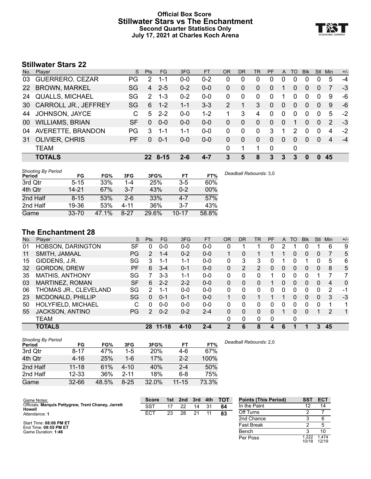#### **Official Box Score Stillwater Stars vs The Enchantment Second Quarter Statistics Only July 17, 2021 at Charles Koch Arena**



## **Stillwater Stars 22**

| No. | Player                      | S. | <b>Pts</b>    | FG.      | 3FG     | <b>FT</b> | 0R | <b>DR</b> | TR       | <b>PF</b> | A        | TO | <b>Blk</b> | Stl      | Min | $+/-$ |
|-----|-----------------------------|----|---------------|----------|---------|-----------|----|-----------|----------|-----------|----------|----|------------|----------|-----|-------|
| 03  | GUERRERO, CEZAR             | PG | 2             | 1-1      | $0 - 0$ | $0 - 2$   | 0  | 0         | 0        | 0         | 0        | 0  | 0          |          | 5   | -4    |
| 22  | <b>BROWN, MARKEL</b>        | SG | 4             | $2 - 5$  | $0 - 2$ | $0-0$     | 0  | 0         | $\Omega$ | $\Omega$  |          | 0  | 0          | $\Omega$ |     | -3    |
| 24  | <b>QUALLS, MICHAEL</b>      | SG | $\mathcal{P}$ | $1 - 3$  | $0 - 2$ | $0 - 0$   | 0  | $\Omega$  | $\Omega$ | 0         |          | 0  | 0          | $\Omega$ | 9   | -6    |
| 30  | <b>CARROLL JR., JEFFREY</b> | SG | 6             | $1 - 2$  | $1 - 1$ | $3 - 3$   | 2  |           | 3        | $\Omega$  | $\Omega$ | 0  | 0          | $\Omega$ | 9   | -6    |
| 44  | JOHNSON, JAYCE              | C. | 5             | $2 - 2$  | $0-0$   | $1 - 2$   |    | 3         | 4        | 0         | 0        | 0  | 0          | $\Omega$ | 5   | $-2$  |
| 00  | <b>WILLIAMS, BRIAN</b>      | SF | $\Omega$      | $0 - 0$  | $0 - 0$ | $0 - 0$   | 0  | $\Omega$  | $\Omega$ | $\Omega$  | 0        |    | 0          | $\Omega$ | 2   | -3    |
| 04  | AVERETTE, BRANDON           | PG | 3             | 1-1      | 1-1     | $0 - 0$   | 0  | $\Omega$  | $\Omega$ | 3         |          | 2  | 0          | $\Omega$ | 4   | $-2$  |
| 31  | <b>OLIVIER, CHRIS</b>       | РF | $\Omega$      | $0 - 1$  | $0 - 0$ | $0 - 0$   | 0  | $\Omega$  | $\Omega$ | $\Omega$  | $\Omega$ | 0  | 0          | $\Omega$ | 4   | $-4$  |
|     | <b>TEAM</b>                 |    |               |          |         |           | 0  | 1         |          | 0         |          | 0  |            |          |     |       |
|     | <b>TOTALS</b>               |    | 22.           | $8 - 15$ | 2-6     | $4 - 7$   | 3  | 5         | 8        | 3         | 3        | 3  | 0          | $\Omega$ | 45  |       |

| <b>Shooting By Period</b> |           |              |          |       |           |       | Deadball Rebounds: 3,0 |
|---------------------------|-----------|--------------|----------|-------|-----------|-------|------------------------|
| Period                    | FG        | FG%          | 3FG      | 3FG%  | FT        | FT%   |                        |
| 3rd Qtr                   | $5 - 15$  | 33%          | 1-4      | 25%   | $3 - 5$   | 60%   |                        |
| 4th Qtr                   | 14-21     | 67%          | $3 - 7$  | 43%   | $0 - 2$   | 00%   |                        |
| 2nd Half                  | $8 - 15$  | 53%          | $2 - 6$  | 33%   | $4 - 7$   | 57%   |                        |
| 2nd Half                  | 19-36     | 53%          | $4 - 11$ | 36%   | 3-7       | 43%   |                        |
| Game                      | $33 - 70$ | $.1\%$<br>47 | $8-27$   | 29.6% | $10 - 17$ | 58.8% |                        |

### **The Enchantment 28**

| No. | Plaver                   | S         | Pts           | FG.       | 3FG      | <b>FT</b> | 0R       | <b>DR</b> | TR             | <b>PF</b> | A              | TO           | <b>B</b> lk | Stl            | Min | $+/-$    |
|-----|--------------------------|-----------|---------------|-----------|----------|-----------|----------|-----------|----------------|-----------|----------------|--------------|-------------|----------------|-----|----------|
| 01  | <b>HOBSON, DARINGTON</b> | SF        | $\Omega$      | $0 - 0$   | $0 - 0$  | $0 - 0$   | 0        |           |                | 0         |                |              |             |                | 6   | 9        |
| 11  | SMITH, JAMAAL            | PG        | 2             | $1 - 4$   | $0 - 2$  | $0 - 0$   |          | 0         |                |           |                | 0            | 0           | $\overline{0}$ |     | 5        |
| 15  | GIDDENS, J.R.            | SG        | 3             | 1-1       | $1 - 1$  | $0 - 0$   | 0        | 3         | 3              | 0         |                |              |             | 0              | 5   | 6        |
| 32  | <b>GORDON, DREW</b>      | <b>PF</b> | 6             | $3 - 4$   | 0-1      | $0 - 0$   | 0        | 2         | $\overline{2}$ | 0         | $\overline{0}$ | $\Omega$     | 0           | 0              | 8   | 5        |
| 35  | <b>MATHIS, ANTHONY</b>   | SG        |               | $3-3$     | $1 - 1$  | $0-0$     | 0        | 0         | 0              |           |                | ∩            | 0           |                |     |          |
| 03  | MARTINEZ, ROMAN          | <b>SF</b> | 6             | $2 - 2$   | $2 - 2$  | $0 - 0$   | $\Omega$ | 0         | 0              |           | 0              | $\Omega$     | 0           | $\Omega$       | 4   | $\Omega$ |
| 06  | THOMAS JR., CLEVELAND    | SG        | $\mathcal{P}$ | 1-1       | $0 - 0$  | $0 - 0$   | 0        | 0         | $\Omega$       | 0         | 0              | <sup>0</sup> | 0           | 0              | 2   | -1       |
| 23  | MCDONALD, PHILLIP        | SG        | $\Omega$      | $0 - 1$   | $0 - 1$  | $0 - 0$   | 1        | 0         | 1              |           |                | $\Omega$     | $\Omega$    | $\Omega$       | 3   | $-3$     |
| 50  | HOLYFIELD, MICHAEL       | С         | $\Omega$      | $0 - 0$   | $0 - 0$  | $0 - 0$   | 0        | 0         | $\Omega$       | 0         | 0              | 0            | 0           | $\Omega$       |     | 1        |
| 55  | <b>JACKSON, ANTINO</b>   | PG        | 2             | $0 - 2$   | $0 - 2$  | $2 - 4$   | $\Omega$ | 0         | 0              | 0         |                | $\Omega$     | 0           |                | 2   | 1        |
|     | TEAM                     |           |               |           |          |           | 0        | 0         | 0              | 0         |                | 0            |             |                |     |          |
|     | <b>TOTALS</b>            |           | 28            | $11 - 18$ | $4 - 10$ | $2 - 4$   | 2        | 6         | 8              |           | 6              |              |             | 3              | 45  |          |

| <b>Shooting By Period</b> |           |       |          |            |           |       |
|---------------------------|-----------|-------|----------|------------|-----------|-------|
| Period                    | FG        | FG%   | 3FG      | 3FG%       | FT        | FT%   |
| 3rd Qtr                   | $8 - 17$  | 47%   | $1-5$    | <b>20%</b> | 4-6       | 67%   |
| 4th Qtr                   | $4 - 16$  | 25%   | $1 - 6$  | 17%        | $2 - 2$   | 100%  |
| 2nd Half                  | $11 - 18$ | 61%   | $4 - 10$ | 40%        | $2 - 4$   | 50%   |
| 2nd Half                  | $12 - 33$ | 36%   | $2 - 11$ | 18%        | $6 - 8$   | 75%   |
| Game                      | $32 - 66$ | 48.5% | $8 - 25$ | 32.0%      | $11 - 15$ | 73.3% |

*Deadball Rebounds:* 2,0

| Game Notes:                                                   | <b>Score</b> | 1st | 2nd | 3rd | 4th | <b>TOT</b> | <b>Points (This Period)</b> | <b>SST</b>     | <b>ECT</b>     |
|---------------------------------------------------------------|--------------|-----|-----|-----|-----|------------|-----------------------------|----------------|----------------|
| Officials: Marquis Pettygrew, Trent Chaney, Jarrett<br>Howell | SST          | 17  | 22  | 14  | 31  | 84         | In the Paint                |                | 14             |
| Attendance: 1                                                 | <b>ECT</b>   | 23  | 28  | 21  |     | 83         | Off Turns                   |                |                |
|                                                               |              |     |     |     |     |            | 2nd Chance                  |                |                |
| Start Time: 08:08 PM ET<br>End Time: 09:55 PM ET              |              |     |     |     |     |            | <b>Fast Break</b>           |                |                |
| Game Duration: 1:46                                           |              |     |     |     |     |            | Bench                       |                | 10             |
|                                                               |              |     |     |     |     |            | Per Poss                    | 1.222<br>10/18 | 1.474<br>12/19 |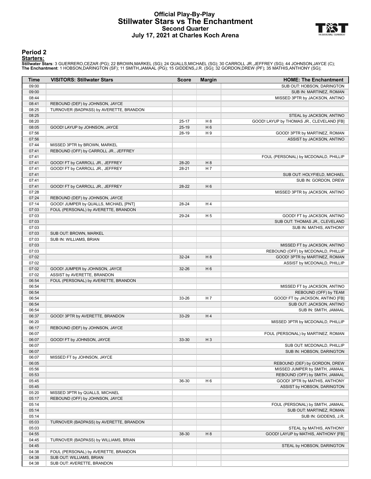#### **Official Play-By-Play Stillwater Stars vs The Enchantment Second Quarter July 17, 2021 at Charles Koch Arena**



#### **Period 2**

#### **Starters:**

Stillwater Stars: 3 GUERRERO,CEZAR (PG); 22 BROWN,MARKEL (SG); 24 QUALLS,MICHAEL (SG); 30 CARROLL JR.,JEFFREY (SG); 44 JOHNSON,JAYCE (C);<br>The Enchantment: 1 HOBSON,DARINGTON (SF); 11 SMITH,JAMAAL (PG); 15 GIDDENS,J.R. (SG)

| <b>Time</b>    | <b>VISITORS: Stillwater Stars</b>       | <b>Score</b> | <b>Margin</b>  | <b>HOME: The Enchantment</b>              |
|----------------|-----------------------------------------|--------------|----------------|-------------------------------------------|
| 09:00          |                                         |              |                | SUB OUT: HOBSON, DARINGTON                |
| 09:00          |                                         |              |                | SUB IN: MARTINEZ, ROMAN                   |
| 08:44          |                                         |              |                | MISSED 3PTR by JACKSON, ANTINO            |
| 08:41          | REBOUND (DEF) by JOHNSON, JAYCE         |              |                |                                           |
| 08:25          | TURNOVER (BADPASS) by AVERETTE, BRANDON |              |                |                                           |
| 08:25          |                                         |              |                | STEAL by JACKSON, ANTINO                  |
| 08:20          |                                         | $25 - 17$    | H <sub>8</sub> | GOOD! LAYUP by THOMAS JR., CLEVELAND [FB] |
| 08:05          | GOOD! LAYUP by JOHNSON, JAYCE           | $25-19$      | H <sub>6</sub> |                                           |
| 07:56          |                                         | 28-19        | H 9            | GOOD! 3PTR by MARTINEZ, ROMAN             |
| 07:56          |                                         |              |                | ASSIST by JACKSON, ANTINO                 |
| 07:44          | MISSED 3PTR by BROWN, MARKEL            |              |                |                                           |
| 07:41          | REBOUND (OFF) by CARROLL JR., JEFFREY   |              |                |                                           |
| 07:41<br>07:41 | GOOD! FT by CARROLL JR., JEFFREY        | 28-20        | H 8            | FOUL (PERSONAL) by MCDONALD, PHILLIP      |
| 07:41          | GOOD! FT by CARROLL JR., JEFFREY        | 28-21        | H <sub>7</sub> |                                           |
| 07:41          |                                         |              |                | SUB OUT: HOLYFIELD, MICHAEL               |
| 07:41          |                                         |              |                | SUB IN: GORDON, DREW                      |
| 07:41          | GOOD! FT by CARROLL JR., JEFFREY        | 28-22        | H <sub>6</sub> |                                           |
| 07:28          |                                         |              |                | MISSED 3PTR by JACKSON, ANTINO            |
| 07:24          | REBOUND (DEF) by JOHNSON, JAYCE         |              |                |                                           |
| 07:14          | GOOD! JUMPER by QUALLS, MICHAEL [PNT]   | 28-24        | H 4            |                                           |
| 07:03          | FOUL (PERSONAL) by AVERETTE, BRANDON    |              |                |                                           |
| 07:03          |                                         | 29-24        | H <sub>5</sub> | GOOD! FT by JACKSON, ANTINO               |
| 07:03          |                                         |              |                | SUB OUT: THOMAS JR., CLEVELAND            |
| 07:03          |                                         |              |                | SUB IN: MATHIS, ANTHONY                   |
| 07:03          | SUB OUT: BROWN, MARKEL                  |              |                |                                           |
| 07:03          | SUB IN: WILLIAMS, BRIAN                 |              |                |                                           |
| 07:03          |                                         |              |                | MISSED FT by JACKSON, ANTINO              |
| 07:03          |                                         |              |                | REBOUND (OFF) by MCDONALD, PHILLIP        |
| 07:02          |                                         | $32 - 24$    | H 8            | GOOD! 3PTR by MARTINEZ, ROMAN             |
| 07:02          |                                         |              |                | ASSIST by MCDONALD, PHILLIP               |
| 07:02          | GOOD! JUMPER by JOHNSON, JAYCE          | 32-26        | H <sub>6</sub> |                                           |
| 07:02          | ASSIST by AVERETTE, BRANDON             |              |                |                                           |
| 06:54          | FOUL (PERSONAL) by AVERETTE, BRANDON    |              |                |                                           |
| 06:54          |                                         |              |                | MISSED FT by JACKSON, ANTINO              |
| 06:54          |                                         |              |                | REBOUND (OFF) by TEAM                     |
| 06:54          |                                         | 33-26        | H 7            | GOOD! FT by JACKSON, ANTINO [FB]          |
| 06:54          |                                         |              |                | SUB OUT: JACKSON, ANTINO                  |
| 06:54          |                                         |              |                | SUB IN: SMITH, JAMAAL                     |
| 06:37          | GOOD! 3PTR by AVERETTE, BRANDON         | 33-29        | H4             |                                           |
| 06:20<br>06:17 | REBOUND (DEF) by JOHNSON, JAYCE         |              |                | MISSED 3PTR by MCDONALD, PHILLIP          |
| 06:07          |                                         |              |                | FOUL (PERSONAL) by MARTINEZ, ROMAN        |
| 06:07          | GOOD! FT by JOHNSON, JAYCE              | 33-30        | $H_3$          |                                           |
| 06:07          |                                         |              |                | SUB OUT: MCDONALD, PHILLIP                |
| 06:07          |                                         |              |                | SUB IN: HOBSON, DARINGTON                 |
| 06:07          | MISSED FT by JOHNSON, JAYCE             |              |                |                                           |
| 06:05          |                                         |              |                | REBOUND (DEF) by GORDON, DREW             |
| 05:56          |                                         |              |                | MISSED JUMPER by SMITH, JAMAAL            |
| 05:53          |                                         |              |                | REBOUND (OFF) by SMITH, JAMAAL            |
| 05:45          |                                         | 36-30        | H <sub>6</sub> | GOOD! 3PTR by MATHIS, ANTHONY             |
| 05:45          |                                         |              |                | ASSIST by HOBSON, DARINGTON               |
| 05:20          | MISSED 3PTR by QUALLS, MICHAEL          |              |                |                                           |
| 05:17          | REBOUND (OFF) by JOHNSON, JAYCE         |              |                |                                           |
| 05:14          |                                         |              |                | FOUL (PERSONAL) by SMITH, JAMAAL          |
| 05:14          |                                         |              |                | SUB OUT: MARTINEZ, ROMAN                  |
| 05:14          |                                         |              |                | SUB IN: GIDDENS, J.R.                     |
| 05:03          | TURNOVER (BADPASS) by AVERETTE, BRANDON |              |                |                                           |
| 05:03          |                                         |              |                | STEAL by MATHIS, ANTHONY                  |
| 04:55          |                                         | 38-30        | H 8            | GOOD! LAYUP by MATHIS, ANTHONY [FB]       |
| 04:45          | TURNOVER (BADPASS) by WILLIAMS, BRIAN   |              |                |                                           |
| 04:45          |                                         |              |                | STEAL by HOBSON, DARINGTON                |
| 04:38          | FOUL (PERSONAL) by AVERETTE, BRANDON    |              |                |                                           |
| 04:38          | SUB OUT: WILLIAMS, BRIAN                |              |                |                                           |
| 04:38          | SUB OUT: AVERETTE, BRANDON              |              |                |                                           |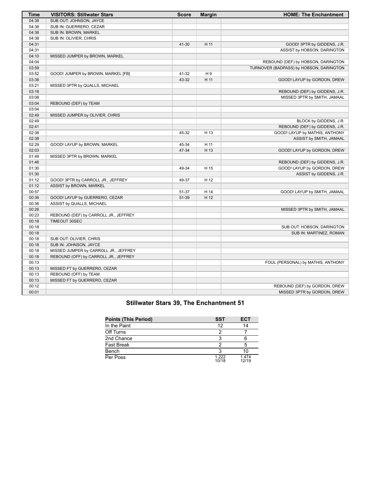| <b>Time</b> | <b>VISITORS: Stillwater Stars</b>     | <b>Score</b> | <b>Margin</b>  | <b>HOME: The Enchantment</b>            |
|-------------|---------------------------------------|--------------|----------------|-----------------------------------------|
| 04:38       | SUB OUT: JOHNSON, JAYCE               |              |                |                                         |
| 04:38       | SUB IN: GUERRERO, CEZAR               |              |                |                                         |
| 04:38       | SUB IN: BROWN, MARKEL                 |              |                |                                         |
| 04:38       | SUB IN: OLIVIER, CHRIS                |              |                |                                         |
| 04:31       |                                       | 41-30        | H 11           | GOOD! 3PTR by GIDDENS, J.R.             |
| 04:31       |                                       |              |                | ASSIST by HOBSON, DARINGTON             |
| 04:10       | MISSED JUMPER by BROWN, MARKEL        |              |                |                                         |
| 04:04       |                                       |              |                | REBOUND (DEF) by HOBSON, DARINGTON      |
| 03:59       |                                       |              |                | TURNOVER (BADPASS) by HOBSON, DARINGTON |
| 03:52       | GOOD! JUMPER by BROWN, MARKEL [FB]    | 41-32        | H <sub>9</sub> |                                         |
| 03:38       |                                       | 43-32        | H 11           | GOOD! LAYUP by GORDON, DREW             |
| 03:21       | MISSED 3PTR by QUALLS, MICHAEL        |              |                |                                         |
| 03:18       |                                       |              |                | REBOUND (DEF) by GIDDENS, J.R.          |
| 03:08       |                                       |              |                | MISSED 3PTR by SMITH, JAMAAL            |
| 03:04       | REBOUND (DEF) by TEAM                 |              |                |                                         |
| 03:04       |                                       |              |                |                                         |
| 02:49       | MISSED JUMPER by OLIVIER, CHRIS       |              |                |                                         |
| 02:49       |                                       |              |                | BLOCK by GIDDENS, J.R.                  |
| 02:41       |                                       |              |                | REBOUND (DEF) by GIDDENS, J.R.          |
| 02:38       |                                       | 45-32        | H 13           | GOOD! LAYUP by MATHIS, ANTHONY          |
| 02:38       |                                       |              |                | ASSIST by SMITH, JAMAAL                 |
| 02:29       | GOOD! LAYUP by BROWN, MARKEL          | 45-34        | H 11           |                                         |
| 02:03       |                                       | 47-34        | H 13           | GOOD! LAYUP by GORDON, DREW             |
| 01:49       | MISSED 3PTR by BROWN, MARKEL          |              |                |                                         |
| 01:46       |                                       |              |                | REBOUND (DEF) by GIDDENS, J.R.          |
| 01:30       |                                       | 49-34        | H 15           | GOOD! LAYUP by GORDON, DREW             |
| 01:30       |                                       |              |                | ASSIST by GIDDENS, J.R.                 |
| 01:12       | GOOD! 3PTR by CARROLL JR., JEFFREY    | 49-37        | H 12           |                                         |
| 01:12       | ASSIST by BROWN, MARKEL               |              |                |                                         |
| 00:57       |                                       | 51-37        | H 14           | GOOD! LAYUP by SMITH, JAMAAL            |
| 00:36       | GOOD! LAYUP by GUERRERO, CEZAR        | 51-39        | H 12           |                                         |
| 00:36       | ASSIST by QUALLS, MICHAEL             |              |                |                                         |
| 00:26       |                                       |              |                | MISSED 3PTR by SMITH, JAMAAL            |
| 00:23       | REBOUND (DEF) by CARROLL JR., JEFFREY |              |                |                                         |
| 00:18       | TIMEOUT 30SEC                         |              |                |                                         |
| 00:18       |                                       |              |                | SUB OUT: HOBSON, DARINGTON              |
| 00:18       |                                       |              |                | SUB IN: MARTINEZ, ROMAN                 |
| 00:18       | SUB OUT: OLIVIER, CHRIS               |              |                |                                         |
| 00:18       | SUB IN: JOHNSON, JAYCE                |              |                |                                         |
| 00:18       | MISSED JUMPER by CARROLL JR., JEFFREY |              |                |                                         |
| 00:18       | REBOUND (OFF) by CARROLL JR., JEFFREY |              |                |                                         |
| 00:13       |                                       |              |                | FOUL (PERSONAL) by MATHIS, ANTHONY      |
| 00:13       | MISSED FT by GUERRERO, CEZAR          |              |                |                                         |
| 00:13       | REBOUND (OFF) by TEAM                 |              |                |                                         |
| 00:13       | MISSED FT by GUERRERO, CEZAR          |              |                |                                         |
| 00:12       |                                       |              |                | REBOUND (DEF) by GORDON, DREW           |
| 00:01       |                                       |              |                | MISSED 3PTR by GORDON, DREW             |

## **Stillwater Stars 39, The Enchantment 51**

| <b>Points (This Period)</b> | SST            | <b>ECT</b>     |
|-----------------------------|----------------|----------------|
| In the Paint                | 12             | 14             |
| Off Turns                   |                |                |
| 2nd Chance                  |                |                |
| <b>Fast Break</b>           |                | 5              |
| Bench                       |                | 10             |
| Per Poss                    | 1 222<br>10/18 | 1.474<br>12/19 |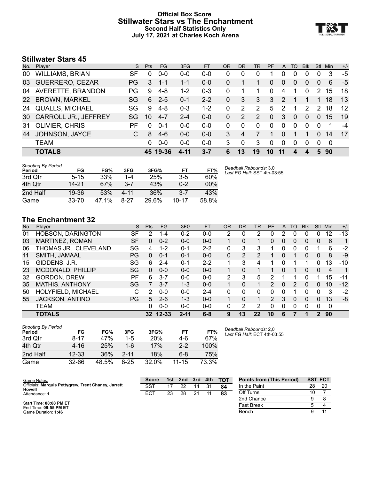#### **Official Box Score Stillwater Stars vs The Enchantment Second Half Statistics Only July 17, 2021 at Charles Koch Arena**



## **Stillwater Stars 45**

| No.       | Player                      | S. | Pts          | <b>FG</b> | 3FG     | <b>FT</b> | <b>OR</b> | DR       | TR | <b>PF</b> | A             | TO       | <b>Blk</b>    | Stl           | Min | $+/-$ |
|-----------|-----------------------------|----|--------------|-----------|---------|-----------|-----------|----------|----|-----------|---------------|----------|---------------|---------------|-----|-------|
| 00        | <b>WILLIAMS, BRIAN</b>      | SF | 0            | $0 - 0$   | $0 - 0$ | $0 - 0$   | 0         | 0        | 0  |           |               | 0        | 0             |               | 3   | -5    |
| 03        | <b>GUERRERO, CEZAR</b>      | PG | 3            | -1-1      | $1 - 1$ | $0 - 0$   | 0         |          |    | 0         | $\Omega$      | $\Omega$ | $\Omega$      | $\Omega$      | 6   | -5    |
| 04        | AVERETTE, BRANDON           | PG | 9            | $4 - 8$   | $1 - 2$ | $0 - 3$   | 0         |          | 1  | 0         | 4             | 1        | $\Omega$      | 2             | 15  | 18    |
| <b>22</b> | <b>BROWN, MARKEL</b>        | SG | 6            | $2 - 5$   | $0 - 1$ | $2 - 2$   | 0         | 3        | 3  | 3         | $\mathcal{P}$ |          |               |               | 18  | 13    |
| 24        | <b>QUALLS, MICHAEL</b>      | SG | 9            | $4 - 8$   | $0 - 3$ | $1 - 2$   | 0         | 2        | 2  | 5         | 2             | 1        | $\mathcal{P}$ | $\mathcal{P}$ | 18  | 12    |
| 30        | <b>CARROLL JR., JEFFREY</b> | SG | 10           | $4 - 7$   | $2 - 4$ | $0 - 0$   | 0         | 2        | 2  | 0         | 3             | 0        | $\Omega$      | 0             | 15  | 19    |
| -31       | <b>OLIVIER, CHRIS</b>       | PF | <sup>0</sup> | $0 - 1$   | $0 - 0$ | $0 - 0$   | 0         | $\Omega$ | 0  | 0         | $\Omega$      | 0        | <sup>0</sup>  | $\Omega$      |     | $-4$  |
| 44        | JOHNSON, JAYCE              | C  | 8            | $4-6$     | $0-0$   | $0 - 0$   | 3         | 4        |    |           | $\Omega$      |          |               | 0             | 14  | -17   |
|           | <b>TEAM</b>                 |    | 0            | $0 - 0$   | $0 - 0$ | $0-0$     | 3         | $\Omega$ | 3  | 0         | $\Omega$      | $\Omega$ | $\Omega$      | $\Omega$      | 0   |       |
|           | <b>TOTALS</b>               |    |              | 45 19-36  | 4-11    | $3 - 7$   | 6         | 13       | 19 | 10        | 11            | 4        |               | 5.            | 90  |       |

| <b>Shooting By Period</b> |           |       |      |       |           |       |
|---------------------------|-----------|-------|------|-------|-----------|-------|
| Period                    | FG        | FG%   | 3FG  | 3FG%  | FТ        | FT%   |
| 3rd Otr                   | $5 - 15$  | 33%   | 1-4  | 25%   | $3 - 5$   | 60%   |
| 4th Otr                   | 14-21     | 67%   | 3-7  | 43%   | $0 - 2$   | 00%   |
| 2nd Half                  | 19-36     | 53%   | 4-11 | 36%   | 3.7       | 43%   |
| Game                      | $33 - 70$ | 47.1% | 8-27 | 29.6% | $10 - 17$ | 58.8% |

#### *Deadball Rebounds:* 3,0 *Last FG Half:* SST 4th-03:55

### **The Enchantment 32**

| No. | Plaver                   | S  | <b>Pts</b> | FG       | 3FG      | <b>FT</b> | ΟR       | DR       | TR | PF | A        | TO       | <b>Blk</b> | Stl            | Min | $+/-$          |
|-----|--------------------------|----|------------|----------|----------|-----------|----------|----------|----|----|----------|----------|------------|----------------|-----|----------------|
| 01  | <b>HOBSON, DARINGTON</b> | SF | 2          | $1 - 4$  | $0 - 2$  | $0 - 0$   | 2        | 0        | 2  | 0  | 2        | 0        | 0          | 0              | 12  | $-13$          |
| 03  | MARTINEZ, ROMAN          | SF | 0          | $0 - 2$  | $0 - 0$  | $0 - 0$   | 1        | 0        | 1  | 0  | 0        | 0        | 0          | $\mathbf{0}$   | 6   | 1              |
| 06  | THOMAS JR., CLEVELAND    | SG | 4          | $1 - 2$  | $0 - 1$  | $2 - 2$   | 0        | 3        | 3  |    | 0        | 0        | 0          |                | 6   | -2             |
| 11  | SMITH, JAMAAL            | PG | 0          | $0 - 1$  | $0 - 1$  | $0 - 0$   | $\Omega$ | 2        | 2  |    | 0        |          | 0          | $\overline{0}$ | 8   | -9             |
| 15  | GIDDENS, J.R.            | SG | 6          | $2 - 4$  | 0-1      | $2 - 2$   |          | 3        | 4  |    |          |          |            | 0              | 13  | $-10$          |
| 23  | <b>MCDONALD, PHILLIP</b> | SG | $\Omega$   | $0 - 0$  | $0 - 0$  | $0 - 0$   |          | 0        |    |    | 0        |          | 0          | $\mathbf{0}$   | 4   | $\overline{1}$ |
| 32  | <b>GORDON, DREW</b>      | РF | 6          | $3 - 7$  | $0 - 0$  | $0 - 0$   | 2        | 3        | 5  | 2  |          |          |            |                | 15  | -11            |
| 35  | <b>MATHIS, ANTHONY</b>   | SG |            | $3 - 7$  | $1 - 3$  | $0 - 0$   |          | 0        | 1  | 2  | $\Omega$ | 2        | 0          | $\Omega$       | 10  | $-12$          |
| 50  | HOLYFIELD, MICHAEL       | С  | 2          | $0 - 0$  | $0 - 0$  | $2 - 4$   | 0        | 0        | 0  | 0  | ∩        |          | 0          | $\Omega$       | 3   | -2             |
| 55  | <b>JACKSON, ANTINO</b>   | PG | 5          | $2 - 6$  | $1 - 3$  | $0 - 0$   | 1        | $\Omega$ | 1  | 2  | 3        | $\Omega$ | $\Omega$   | $\Omega$       | 13  | -8             |
|     | <b>TEAM</b>              |    | 0          | $0 - 0$  | $0 - 0$  | $0 - 0$   | 0        | 2        | 2  | 0  | 0        | 0        | 0          | $\Omega$       | 0   |                |
|     | <b>TOTALS</b>            |    |            | 32 12-33 | $2 - 11$ | $6 - 8$   | 9        | 13       | 22 | 10 | 6        |          | 1          | $\mathcal{P}$  | 90  |                |

| <b>Shooting By Period</b><br>Period | FG        | FG%   | 3FG      | 3FG%  | FТ        | FT%   |
|-------------------------------------|-----------|-------|----------|-------|-----------|-------|
| 3rd Otr                             | $8 - 17$  | 47%   | $1 - 5$  | 20%   | 4-6       | 67%   |
| 4th Qtr                             | 4-16      | 25%   | 1-6      | 17%   | $2 - 2$   | 100%  |
| 2nd Half                            | $12 - 33$ | 36%   | $2 - 11$ | 18%   | $6-8$     | 75%   |
| Game                                | 32-66     | 48.5% | $8 - 25$ | 32.0% | $11 - 15$ | 73.3% |

*Deadball Rebounds:* 2,0 *Last FG Half:* ECT 4th-03:55

| Game Notes:                                                   | <b>Score</b> | 1st | 2nd | 3rd | 4th | <b>TOT</b> | <b>Points from (This Period)</b> |    | <b>SST ECT</b> |
|---------------------------------------------------------------|--------------|-----|-----|-----|-----|------------|----------------------------------|----|----------------|
| Officials: Marquis Pettygrew, Trent Chaney, Jarrett<br>Howell | SST          |     | つつ  | 14  | 31  | 84         | In the Paint                     | 28 | 20             |
| Attendance: 1                                                 | ECT          | 23  | 28  |     |     | 83         | Off Turns                        | 10 |                |
|                                                               |              |     |     |     |     |            | 2nd Chance                       |    |                |
| Start Time: 08:08 PM ET<br>End Time: 09:55 PM ET              |              |     |     |     |     |            | <b>Fast Break</b>                |    |                |
| Game Duration: 1:46                                           |              |     |     |     |     |            | Bench                            |    |                |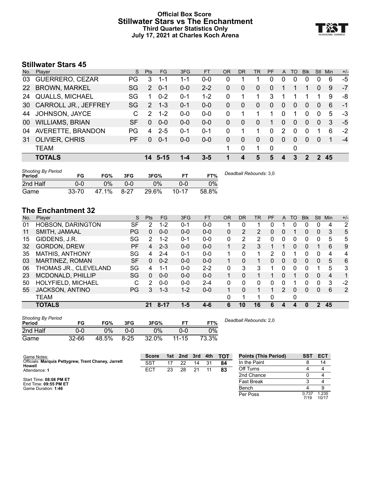#### **Official Box Score Stillwater Stars vs The Enchantment Third Quarter Statistics Only July 17, 2021 at Charles Koch Arena**



## **Stillwater Stars 45**

| No.       | Plaver                      | S.        | <b>Pts</b>    | FG.     | 3FG     | FT      | OR | <b>DR</b> | TR       | <b>PF</b> | $\mathsf{A}$ | TO | <b>Blk</b> | Stl           | Min | $+/-$ |
|-----------|-----------------------------|-----------|---------------|---------|---------|---------|----|-----------|----------|-----------|--------------|----|------------|---------------|-----|-------|
| 03        | GUERRERO, CEZAR             | <b>PG</b> | 3             | 1-1     | 1-1     | $0 - 0$ | 0  |           |          | 0         | 0            | 0  | 0          |               | 6   | -5    |
| <b>22</b> | <b>BROWN, MARKEL</b>        | SG        | 2             | $0 - 1$ | $0 - 0$ | $2 - 2$ | 0  | 0         | $\Omega$ | $\Omega$  |              |    |            | $\Omega$      | 9   | -7    |
| 24        | <b>QUALLS, MICHAEL</b>      | SG        | 1             | $0 - 2$ | 0-1     | $1 - 2$ | 0  | 1         | 1        | 3         |              |    |            |               | 9   | -8    |
| 30        | <b>CARROLL JR., JEFFREY</b> | SG        | $\mathcal{P}$ | $1 - 3$ | $0 - 1$ | $0 - 0$ | 0  | 0         | $\Omega$ | $\Omega$  | 0            | 0  | 0          | $\Omega$      | 6   | -1    |
| 44        | JOHNSON, JAYCE              | C         | $\mathcal{P}$ | $1 - 2$ | $0 - 0$ | $0 - 0$ | 0  |           |          |           | $\Omega$     |    | 0          | $\Omega$      | 5   | -3    |
| 00        | <b>WILLIAMS, BRIAN</b>      | SF        | $\Omega$      | $0 - 0$ | $0 - 0$ | $0 - 0$ | 0  | 0         | $\Omega$ | 1         | 0            | 0  | 0          | $\Omega$      | 3   | $-5$  |
| 04        | AVERETTE, BRANDON           | PG        | 4             | $2 - 5$ | 0-1     | $0 - 1$ | 0  |           |          | $\Omega$  | 2            | 0  | 0          |               | 6   | $-2$  |
| 31        | <b>OLIVIER, CHRIS</b>       | PF        | $\Omega$      | $0 - 1$ | $0 - 0$ | $0 - 0$ | 0  | 0         | $\Omega$ | $\Omega$  | $\Omega$     | 0  | 0          | $\Omega$      | 1   | $-4$  |
|           | <b>TEAM</b>                 |           |               |         |         |         |    | $\Omega$  |          | $\Omega$  |              | 0  |            |               |     |       |
|           | <b>TOTALS</b>               |           |               | 14 5-15 |         | $3 - 5$ | я  | 4         | 5        | 5         | 4            | 3  | 2          | $\mathcal{P}$ | 45  |       |

| <b>Shooting By Period</b><br>Period | FG        | FG%   | 3FG      | 3FG%  |           | FT%   | Deadball Rebounds: 3,0 |
|-------------------------------------|-----------|-------|----------|-------|-----------|-------|------------------------|
| 2nd Half                            | 0-0       | 0%    | 0-0      | 0%    | 0-0       | 0%    |                        |
| Game                                | $33 - 70$ | 47.1% | $8 - 27$ | 29.6% | $10 - 17$ | 58.8% |                        |

## **The Enchantment 32**

| No. | Player                   | S         | <b>Pts</b> | FG.      | 3FG     | <b>FT</b> | <b>OR</b> | DR | TR | PF | A             | TO | <b>Blk</b> | Stl          | Min | $+/-$ |
|-----|--------------------------|-----------|------------|----------|---------|-----------|-----------|----|----|----|---------------|----|------------|--------------|-----|-------|
| 01  | <b>HOBSON, DARINGTON</b> | SF        | 2          | $1 - 2$  | 0-1     | $0 - 0$   |           | 0  |    |    |               | 0  |            | 0            | 4   | 2     |
| 11  | SMITH, JAMAAL            | PG        | 0          | $0 - 0$  | $0 - 0$ | $0-0$     | 0         | 2  | 2  | 0  | 0             |    | 0          | $\mathbf{0}$ | 3   | 5     |
| 15  | GIDDENS, J.R.            | SG        | 2          | $1 - 2$  | $0 - 1$ | $0 - 0$   | 0         | 2  | 2  | O  |               | 0  | 0          |              | 5   | 5     |
| 32  | <b>GORDON, DREW</b>      | PF        | 4          | $2 - 3$  | $0 - 0$ | $0 - 0$   |           | 2  | 3  |    |               | 0  | 0          |              | 6   | 9     |
| 35  | <b>MATHIS, ANTHONY</b>   | SG        | 4          | $2 - 4$  | $0 - 1$ | $0 - 0$   | 1         | 0  | 1  | 2  | 0             |    | 0          | $\Omega$     | 4   | 4     |
| 03  | <b>MARTINEZ, ROMAN</b>   | <b>SF</b> | 0          | $0 - 2$  | $0 - 0$ | $0 - 0$   |           | 0  |    | 0  | $\Omega$      | 0  | $\Omega$   | $\Omega$     | 5   | 6     |
| 06  | THOMAS JR., CLEVELAND    | SG        | 4          | 1-1      | $0 - 0$ | $2 - 2$   | 0         | 3  | 3  |    | 0             | 0  | 0          |              | 5   | 3     |
| 23  | MCDONALD, PHILLIP        | SG        | 0          | $0 - 0$  | $0 - 0$ | $0 - 0$   |           | 0  |    |    | 0             |    | 0          | $\Omega$     | 4   | 1     |
| 50  | HOLYFIELD, MICHAEL       | С         | 2          | $0 - 0$  | $0 - 0$ | 2-4       | 0         | 0  | 0  | 0  |               |    | 0          | 0            | 3   | $-2$  |
| 55  | <b>JACKSON, ANTINO</b>   | РG        | 3.         | $1 - 3$  | $1 - 2$ | $0 - 0$   |           | 0  | 1  | 1  | $\mathcal{P}$ | 0  | 0          | $\mathbf{0}$ | 6   | 2     |
|     | <b>TEAM</b>              |           |            |          |         |           | 0         |    |    | 0  |               | 0  |            |              |     |       |
|     | <b>TOTALS</b>            |           | 21         | $8 - 17$ | $1 - 5$ | $4 - 6$   | 6         | 10 | 16 | 6  | 4             | 4  | 0          | 2            | 45  |       |

| <b>Shooting By Period</b><br>Period | FG        | FG%   | 3FG      | 3FG%  | FТ        | FT%   | Dea |
|-------------------------------------|-----------|-------|----------|-------|-----------|-------|-----|
| 2nd Half                            | 0-0       | $2\%$ | 0-0      | 0%    | 0-0       | $0\%$ |     |
| Game                                | $32 - 66$ | 48.5% | $8 - 25$ | 32.0% | $11 - 15$ | 73.3% |     |

*Deadball Rebounds:* 2,0

| Game Notes:                                                   | <b>Score</b>    | 1st | 2nd | 3rd | 4th | <b>TOT</b> | <b>Points (This Period)</b> | SST           | <b>ECT</b>     |
|---------------------------------------------------------------|-----------------|-----|-----|-----|-----|------------|-----------------------------|---------------|----------------|
| Officials: Marquis Pettygrew, Trent Chaney, Jarrett<br>Howell | <b>SST</b>      | 17  | 22  | 14  | -31 | 84         | In the Paint                |               | 14             |
| Attendance: 1                                                 | EC <sub>T</sub> | 23  | 28  | 21  |     | 83         | Off Turns                   |               |                |
|                                                               |                 |     |     |     |     |            | 2nd Chance                  |               |                |
| Start Time: 08:08 PM ET<br>End Time: 09:55 PM ET              |                 |     |     |     |     |            | <b>Fast Break</b>           |               |                |
| Game Duration: 1:46                                           |                 |     |     |     |     |            | Bench                       |               |                |
|                                                               |                 |     |     |     |     |            | Per Poss                    | 0.737<br>7/19 | 1.235<br>10/17 |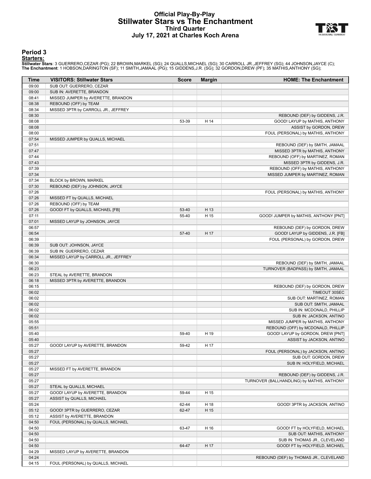#### **Official Play-By-Play Stillwater Stars vs The Enchantment Third Quarter July 17, 2021 at Charles Koch Arena**



#### **Period 3**

#### **Starters:**

Stillwater Stars: 3 GUERRERO,CEZAR (PG); 22 BROWN,MARKEL (SG); 24 QUALLS,MICHAEL (SG); 30 CARROLL JR.,JEFFREY (SG); 44 JOHNSON,JAYCE (C);<br>The Enchantment: 1 HOBSON,DARINGTON (SF); 11 SMITH,JAMAAL (PG); 15 GIDDENS,J.R. (SG)

| Time           | <b>VISITORS: Stillwater Stars</b>                               | <b>Score</b> | <b>Margin</b> | <b>HOME: The Enchantment</b>                                                 |
|----------------|-----------------------------------------------------------------|--------------|---------------|------------------------------------------------------------------------------|
| 09:00          | SUB OUT: GUERRERO, CEZAR                                        |              |               |                                                                              |
| 09:00          | SUB IN: AVERETTE, BRANDON                                       |              |               |                                                                              |
| 08:41          | MISSED JUMPER by AVERETTE, BRANDON                              |              |               |                                                                              |
| 08:38          | REBOUND (OFF) by TEAM                                           |              |               |                                                                              |
| 08:34          | MISSED 3PTR by CARROLL JR., JEFFREY                             |              |               |                                                                              |
| 08:30          |                                                                 |              |               | REBOUND (DEF) by GIDDENS, J.R.                                               |
| 08:08<br>08:08 |                                                                 | 53-39        | H 14          | GOOD! LAYUP by MATHIS, ANTHONY                                               |
| 08:00          |                                                                 |              |               | ASSIST by GORDON, DREW<br>FOUL (PERSONAL) by MATHIS, ANTHONY                 |
| 07:54          | MISSED JUMPER by QUALLS, MICHAEL                                |              |               |                                                                              |
| 07:51          |                                                                 |              |               | REBOUND (DEF) by SMITH, JAMAAL                                               |
| 07:47          |                                                                 |              |               | MISSED 3PTR by MATHIS, ANTHONY                                               |
| 07:44          |                                                                 |              |               | REBOUND (OFF) by MARTINEZ, ROMAN                                             |
| 07:43          |                                                                 |              |               | MISSED 3PTR by GIDDENS, J.R.                                                 |
| 07:39          |                                                                 |              |               | REBOUND (OFF) by MATHIS, ANTHONY                                             |
| 07:34          |                                                                 |              |               | MISSED JUMPER by MARTINEZ, ROMAN                                             |
| 07:34          | BLOCK by BROWN, MARKEL                                          |              |               |                                                                              |
| 07:30<br>07:26 | REBOUND (DEF) by JOHNSON, JAYCE                                 |              |               | FOUL (PERSONAL) by MATHIS, ANTHONY                                           |
| 07:26          | MISSED FT by QUALLS, MICHAEL                                    |              |               |                                                                              |
| 07:26          | REBOUND (OFF) by TEAM                                           |              |               |                                                                              |
| 07:26          | GOOD! FT by QUALLS, MICHAEL [FB]                                | 53-40        | H 13          |                                                                              |
| 07:11          |                                                                 | 55-40        | H 15          | GOOD! JUMPER by MATHIS, ANTHONY [PNT]                                        |
| 07:01          | MISSED LAYUP by JOHNSON, JAYCE                                  |              |               |                                                                              |
| 06:57          |                                                                 |              |               | REBOUND (DEF) by GORDON, DREW                                                |
| 06:54          |                                                                 | 57-40        | H 17          | GOOD! LAYUP by GIDDENS, J.R. [FB]                                            |
| 06:39          |                                                                 |              |               | FOUL (PERSONAL) by GORDON, DREW                                              |
| 06:39          | SUB OUT: JOHNSON, JAYCE                                         |              |               |                                                                              |
| 06:39<br>06:34 | SUB IN: GUERRERO, CEZAR<br>MISSED LAYUP by CARROLL JR., JEFFREY |              |               |                                                                              |
| 06:30          |                                                                 |              |               | REBOUND (DEF) by SMITH, JAMAAL                                               |
| 06:23          |                                                                 |              |               | TURNOVER (BADPASS) by SMITH, JAMAAL                                          |
| 06:23          | STEAL by AVERETTE, BRANDON                                      |              |               |                                                                              |
| 06:18          | MISSED 3PTR by AVERETTE, BRANDON                                |              |               |                                                                              |
| 06:15          |                                                                 |              |               | REBOUND (DEF) by GORDON, DREW                                                |
| 06:02          |                                                                 |              |               | TIMEOUT 30SEC                                                                |
| 06:02          |                                                                 |              |               | SUB OUT: MARTINEZ, ROMAN                                                     |
| 06:02          |                                                                 |              |               | SUB OUT: SMITH, JAMAAL                                                       |
| 06:02<br>06:02 |                                                                 |              |               | SUB IN: MCDONALD, PHILLIP                                                    |
| 05:55          |                                                                 |              |               | SUB IN: JACKSON, ANTINO<br>MISSED JUMPER by MATHIS, ANTHONY                  |
| 05:51          |                                                                 |              |               | REBOUND (OFF) by MCDONALD, PHILLIP                                           |
| 05:40          |                                                                 | 59-40        | H 19          | GOOD! LAYUP by GORDON, DREW [PNT]                                            |
| 05:40          |                                                                 |              |               | ASSIST by JACKSON, ANTINO                                                    |
| 05:27          | GOOD! LAYUP by AVERETTE, BRANDON                                | 59-42        | H 17          |                                                                              |
| 05:27          |                                                                 |              |               | FOUL (PERSONAL) by JACKSON, ANTINO                                           |
| 05:27          |                                                                 |              |               | SUB OUT: GORDON, DREW                                                        |
| 05:27          |                                                                 |              |               | SUB IN: HOLYFIELD, MICHAEL                                                   |
| 05:27          | MISSED FT by AVERETTE, BRANDON                                  |              |               |                                                                              |
| 05:27<br>05:27 |                                                                 |              |               | REBOUND (DEF) by GIDDENS, J.R.<br>TURNOVER (BALLHANDLING) by MATHIS, ANTHONY |
| 05:27          | STEAL by QUALLS, MICHAEL                                        |              |               |                                                                              |
| 05:27          | GOOD! LAYUP by AVERETTE, BRANDON                                | 59-44        | H 15          |                                                                              |
| 05:27          | ASSIST by QUALLS, MICHAEL                                       |              |               |                                                                              |
| 05:24          |                                                                 | 62-44        | H 18          | GOOD! 3PTR by JACKSON, ANTINO                                                |
| 05:12          | GOOD! 3PTR by GUERRERO, CEZAR                                   | 62-47        | H 15          |                                                                              |
| 05:12          | ASSIST by AVERETTE, BRANDON                                     |              |               |                                                                              |
| 04:50          | FOUL (PERSONAL) by QUALLS, MICHAEL                              |              |               |                                                                              |
| 04:50          |                                                                 | 63-47        | H 16          | GOOD! FT by HOLYFIELD, MICHAEL                                               |
| 04:50          |                                                                 |              |               | SUB OUT: MATHIS, ANTHONY                                                     |
| 04:50<br>04:50 |                                                                 | 64-47        | H 17          | SUB IN: THOMAS JR., CLEVELAND<br>GOOD! FT by HOLYFIELD, MICHAEL              |
| 04:29          | MISSED LAYUP by AVERETTE, BRANDON                               |              |               |                                                                              |
| 04:24          |                                                                 |              |               | REBOUND (DEF) by THOMAS JR., CLEVELAND                                       |
| 04:15          | FOUL (PERSONAL) by QUALLS, MICHAEL                              |              |               |                                                                              |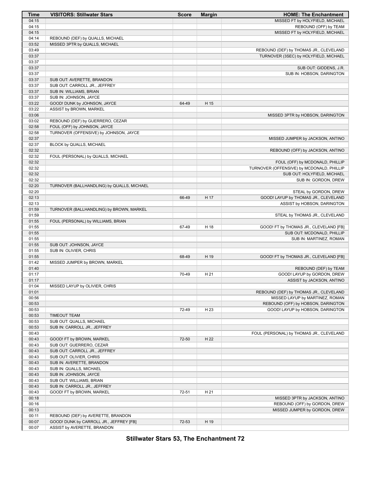| Time  | <b>VISITORS: Stillwater Stars</b>          | <b>Score</b> | <b>Margin</b> | <b>HOME: The Enchantment</b>              |
|-------|--------------------------------------------|--------------|---------------|-------------------------------------------|
| 04:15 |                                            |              |               | MISSED FT by HOLYFIELD, MICHAEL           |
| 04:15 |                                            |              |               | REBOUND (OFF) by TEAM                     |
| 04:15 |                                            |              |               | MISSED FT by HOLYFIELD, MICHAEL           |
| 04:14 | REBOUND (DEF) by QUALLS, MICHAEL           |              |               |                                           |
| 03:52 | MISSED 3PTR by QUALLS, MICHAEL             |              |               |                                           |
| 03:49 |                                            |              |               | REBOUND (DEF) by THOMAS JR., CLEVELAND    |
| 03:37 |                                            |              |               | TURNOVER (3SEC) by HOLYFIELD, MICHAEL     |
| 03:37 |                                            |              |               |                                           |
| 03:37 |                                            |              |               | SUB OUT: GIDDENS, J.R.                    |
| 03:37 |                                            |              |               | SUB IN: HOBSON, DARINGTON                 |
| 03:37 | SUB OUT: AVERETTE, BRANDON                 |              |               |                                           |
| 03:37 | SUB OUT: CARROLL JR., JEFFREY              |              |               |                                           |
| 03:37 | SUB IN: WILLIAMS, BRIAN                    |              |               |                                           |
| 03:37 | SUB IN: JOHNSON, JAYCE                     |              |               |                                           |
| 03:22 | GOOD! DUNK by JOHNSON, JAYCE               | 64-49        | H 15          |                                           |
| 03:22 | ASSIST by BROWN, MARKEL                    |              |               |                                           |
|       |                                            |              |               |                                           |
| 03:06 |                                            |              |               | MISSED 3PTR by HOBSON, DARINGTON          |
| 03:02 | REBOUND (DEF) by GUERRERO, CEZAR           |              |               |                                           |
| 02:58 | FOUL (OFF) by JOHNSON, JAYCE               |              |               |                                           |
| 02:58 | TURNOVER (OFFENSIVE) by JOHNSON, JAYCE     |              |               |                                           |
| 02:37 |                                            |              |               | MISSED JUMPER by JACKSON, ANTINO          |
| 02:37 | BLOCK by QUALLS, MICHAEL                   |              |               |                                           |
| 02:32 |                                            |              |               | REBOUND (OFF) by JACKSON, ANTINO          |
| 02:32 | FOUL (PERSONAL) by QUALLS, MICHAEL         |              |               |                                           |
| 02:32 |                                            |              |               | FOUL (OFF) by MCDONALD, PHILLIP           |
| 02:32 |                                            |              |               | TURNOVER (OFFENSIVE) by MCDONALD, PHILLIP |
| 02:32 |                                            |              |               | SUB OUT: HOLYFIELD, MICHAEL               |
| 02:32 |                                            |              |               | SUB IN: GORDON, DREW                      |
| 02:20 | TURNOVER (BALLHANDLING) by QUALLS, MICHAEL |              |               |                                           |
| 02:20 |                                            |              |               | STEAL by GORDON, DREW                     |
| 02:13 |                                            | 66-49        | H 17          | GOOD! LAYUP by THOMAS JR., CLEVELAND      |
| 02:13 |                                            |              |               | ASSIST by HOBSON, DARINGTON               |
| 01:59 | TURNOVER (BALLHANDLING) by BROWN, MARKEL   |              |               |                                           |
| 01:59 |                                            |              |               | STEAL by THOMAS JR., CLEVELAND            |
| 01:55 | FOUL (PERSONAL) by WILLIAMS, BRIAN         |              |               |                                           |
| 01:55 |                                            | 67-49        | H 18          | GOOD! FT by THOMAS JR., CLEVELAND [FB]    |
| 01:55 |                                            |              |               | SUB OUT: MCDONALD, PHILLIP                |
| 01:55 |                                            |              |               | SUB IN: MARTINEZ, ROMAN                   |
| 01:55 | SUB OUT: JOHNSON, JAYCE                    |              |               |                                           |
| 01:55 | SUB IN: OLIVIER, CHRIS                     |              |               |                                           |
| 01:55 |                                            | 68-49        | H 19          | GOOD! FT by THOMAS JR., CLEVELAND [FB]    |
| 01:42 | MISSED JUMPER by BROWN, MARKEL             |              |               |                                           |
| 01:40 |                                            |              |               | REBOUND (DEF) by TEAM                     |
| 01:17 |                                            | 70-49        | H 21          | GOOD! LAYUP by GORDON, DREW               |
| 01:17 |                                            |              |               | ASSIST by JACKSON, ANTINO                 |
| 01:04 | MISSED LAYUP by OLIVIER, CHRIS             |              |               |                                           |
| 01:01 |                                            |              |               | REBOUND (DEF) by THOMAS JR., CLEVELAND    |
|       |                                            |              |               |                                           |
| 00:56 |                                            |              |               | MISSED LAYUP by MARTINEZ, ROMAN           |
| 00:53 |                                            |              |               | REBOUND (OFF) by HOBSON, DARINGTON        |
| 00:53 |                                            | 72-49        | H 23          | GOOD! LAYUP by HOBSON, DARINGTON          |
| 00:53 | <b>TIMEOUT TEAM</b>                        |              |               |                                           |
| 00:53 | SUB OUT: QUALLS, MICHAEL                   |              |               |                                           |
| 00:53 | SUB IN: CARROLL JR., JEFFREY               |              |               |                                           |
| 00:43 |                                            |              |               | FOUL (PERSONAL) by THOMAS JR., CLEVELAND  |
| 00:43 | GOOD! FT by BROWN, MARKEL                  | 72-50        | H 22          |                                           |
| 00:43 | SUB OUT: GUERRERO, CEZAR                   |              |               |                                           |
| 00:43 | SUB OUT: CARROLL JR., JEFFREY              |              |               |                                           |
| 00:43 | SUB OUT: OLIVIER, CHRIS                    |              |               |                                           |
| 00:43 | SUB IN: AVERETTE, BRANDON                  |              |               |                                           |
| 00:43 | SUB IN: QUALLS, MICHAEL                    |              |               |                                           |
| 00:43 | SUB IN: JOHNSON, JAYCE                     |              |               |                                           |
| 00:43 | SUB OUT: WILLIAMS, BRIAN                   |              |               |                                           |
| 00:43 | SUB IN: CARROLL JR., JEFFREY               |              |               |                                           |
| 00:43 | GOOD! FT by BROWN, MARKEL                  | 72-51        | H 21          |                                           |
| 00:18 |                                            |              |               | MISSED 3PTR by JACKSON, ANTINO            |
| 00:16 |                                            |              |               | REBOUND (OFF) by GORDON, DREW             |
| 00:13 |                                            |              |               | MISSED JUMPER by GORDON, DREW             |
| 00:11 | REBOUND (DEF) by AVERETTE, BRANDON         |              |               |                                           |
| 00:07 | GOOD! DUNK by CARROLL JR., JEFFREY [FB]    | 72-53        | H 19          |                                           |
| 00:07 | ASSIST by AVERETTE, BRANDON                |              |               |                                           |
|       |                                            |              |               |                                           |

**Stillwater Stars 53, The Enchantment 72**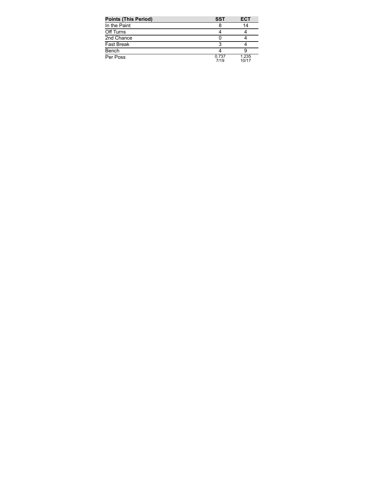| <b>Points (This Period)</b> | SST           | <b>ECT</b>     |
|-----------------------------|---------------|----------------|
| In the Paint                |               | 14             |
| Off Turns                   |               |                |
| 2nd Chance                  |               |                |
| <b>Fast Break</b>           |               |                |
| Bench                       |               |                |
| Per Poss                    | 0.737<br>7/19 | 1.235<br>10/17 |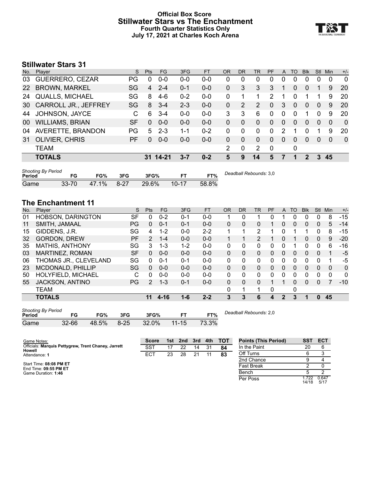#### **Official Box Score Stillwater Stars vs The Enchantment Fourth Quarter Statistics Only July 17, 2021 at Charles Koch Arena**



## **Stillwater Stars 31**

| Player                      | S. | <b>Pts</b> | FG      | 3FG      | FT      | OR | <b>DR</b> | TR            | <b>PF</b>   |                | TO       | <b>Blk</b> | Stl      | Min.     | $+/-$          |
|-----------------------------|----|------------|---------|----------|---------|----|-----------|---------------|-------------|----------------|----------|------------|----------|----------|----------------|
| GUERRERO, CEZAR             | PG | 0          | $0 - 0$ | $0 - 0$  | $0 - 0$ | 0  | 0         | 0             | 0           | 0              | 0        | 0          | 0        | 0        | $\Omega$       |
| <b>BROWN, MARKEL</b>        | SG | 4          | $2 - 4$ | $0 - 1$  | $0-0$   | 0  | 3         | 3             | 3           |                | 0        | 0          |          | 9        | <b>20</b>      |
| <b>QUALLS, MICHAEL</b>      | SG | 8          | $4-6$   | $0 - 2$  | $0 - 0$ | 0  |           |               | 2           |                | 0        |            |          | 9        | 20             |
| <b>CARROLL JR., JEFFREY</b> | SG | 8          | $3 - 4$ | $2 - 3$  | $0-0$   | 0  | 2         | $\mathcal{P}$ | $\Omega$    | 3              | $\Omega$ | 0          | $\Omega$ | 9        | 20             |
| JOHNSON, JAYCE              | C. | 6          | $3 - 4$ | $0 - 0$  | $0 - 0$ | 3  | 3         | 6             | $\Omega$    | $\Omega$       | 0        |            | 0        | 9        | 20             |
| <b>WILLIAMS, BRIAN</b>      | SF | $\Omega$   | $0 - 0$ | $0 - 0$  | $0 - 0$ | 0  | $\Omega$  | $\Omega$      | $\Omega$    | $\mathbf{0}$   | $\Omega$ | $\Omega$   | $\Omega$ | $\Omega$ | $\overline{0}$ |
| AVERETTE, BRANDON           | PG | 5          | $2 - 3$ | $1 - 1$  | $0 - 2$ | 0  | 0         | 0             | $\Omega$    | 2              |          | 0          |          | 9        | 20             |
| <b>OLIVIER, CHRIS</b>       | PF | $\Omega$   | $0 - 0$ | $0 - 0$  | $0 - 0$ | 0  | $\Omega$  | $\Omega$      | $\Omega$    | $\overline{0}$ | $\Omega$ | 0          | $\Omega$ | $\Omega$ | $\Omega$       |
| <b>TEAM</b>                 |    |            |         |          |         | 2  | 0         | 2             | $\mathbf 0$ |                | 0        |            |          |          |                |
| <b>TOTALS</b>               |    |            |         | 3-7      | $0 - 2$ | 5  | 9         | 14            | 5           |                |          | 2          | 3        | 45       |                |
|                             |    |            |         | 31 14-21 |         |    |           |               |             |                |          | A          |          |          |                |

| <b>Shooting By Period</b><br>Period |           | FG%   | 3FG      | 3FG%  |           | FT%   | Deadball Rebounds: 3,0 |
|-------------------------------------|-----------|-------|----------|-------|-----------|-------|------------------------|
| Game                                | $33 - 70$ | 47.1% | $8 - 27$ | 29.6% | $10 - 17$ | 58.8% |                        |

## **The Enchantment 11**

| No. | Player                 | S         | <b>Pts</b>   | FG      | 3FG     | <b>FT</b> | <b>OR</b> | DR | TR | PF | A        | TO | <b>Blk</b> | Stl          | Min      | $+/-$ |
|-----|------------------------|-----------|--------------|---------|---------|-----------|-----------|----|----|----|----------|----|------------|--------------|----------|-------|
| 01  | HOBSON, DARINGTON      | SF        | 0            | $0 - 2$ | $0 - 1$ | $0 - 0$   |           | 0  |    |    |          | 0  | 0          | 0            | 8        | $-15$ |
| 11  | SMITH, JAMAAL          | <b>PG</b> | $\Omega$     | $0 - 1$ | $0 - 1$ | $0 - 0$   | $\Omega$  | 0  | 0  |    | 0        | 0  | 0          | $\mathbf{0}$ | 5        | $-14$ |
| 15  | GIDDENS, J.R.          | SG        | 4            | $1 - 2$ | $0 - 0$ | $2 - 2$   |           |    | 2  |    |          |    |            | 0            | 8        | $-15$ |
| 32  | <b>GORDON, DREW</b>    | <b>PF</b> | 2            | $1 - 4$ | $0 - 0$ | $0 - 0$   |           |    | 2  |    | $\Omega$ |    | 0          | $\mathbf{0}$ | 9        | $-20$ |
| 35  | <b>MATHIS, ANTHONY</b> | SG        | 3            | 1-3     | $1 - 2$ | $0 - 0$   | 0         | 0  | 0  | 0  |          |    | 0          | 0            | 6        | $-16$ |
| 03  | MARTINEZ, ROMAN        | <b>SF</b> | $\Omega$     | $0 - 0$ | $0 - 0$ | $0 - 0$   | $\Omega$  | 0  | 0  | 0  | $\Omega$ | 0  | 0          | 0            |          | -5    |
| 06  | THOMAS JR., CLEVELAND  | SG        | 0            | $0 - 1$ | $0 - 1$ | $0 - 0$   | $\Omega$  | 0  | 0  | 0  | 0        | 0  | 0          | 0            |          | -5    |
| 23  | MCDONALD, PHILLIP      | SG        | 0            | $0 - 0$ | $0 - 0$ | $0 - 0$   | $\Omega$  | 0  | 0  | 0  | $\Omega$ | 0  | 0          | 0            | 0        | 0     |
| 50  | HOLYFIELD, MICHAEL     | C         | <sup>0</sup> | $0 - 0$ | $0 - 0$ | $0 - 0$   | $\Omega$  | 0  | 0  | 0  | $\Omega$ | 0  | 0          | $\Omega$     | $\Omega$ | 0     |
| 55  | <b>JACKSON, ANTINO</b> | PG.       | 2            | $1 - 3$ | $0 - 1$ | $0 - 0$   | $\Omega$  | 0  | 0  |    |          | 0  | 0          | 0            |          | $-10$ |
|     | <b>TEAM</b>            |           |              |         |         |           | $\Omega$  |    |    | 0  |          | 0  |            |              |          |       |
|     | <b>TOTALS</b>          |           | 11           | 4-16    | $1 - 6$ | $2 - 2$   | 3         | 3  | 6  | 4  | 2        | 3  |            | 0            | 45       |       |
|     |                        |           |              |         |         |           |           |    |    |    |          |    |            |              |          |       |

| <b>Shooting By Period</b><br>Period |           | FG%   | 3FG      | 3FG%  |           | FT%   | Deadball Rebounds: 2,0 |
|-------------------------------------|-----------|-------|----------|-------|-----------|-------|------------------------|
| Game                                | $32 - 66$ | 48.5% | $8 - 25$ | 32.0% | $11 - 15$ | 73.3% |                        |

1.722<br>14/18

0.647 5/17

Per Poss

| Game Notes:                                                          | <b>Score</b> | 1st | 2nd | 3rd | 4th | <b>TOT</b> | <b>Points (This Period)</b> | SST | <b>ECT</b> |
|----------------------------------------------------------------------|--------------|-----|-----|-----|-----|------------|-----------------------------|-----|------------|
| Officials: Marquis Pettygrew, Trent Chaney, Jarrett<br><b>Howell</b> | <b>SST</b>   |     |     | 14  | 31  | 84         | In the Paint                | 20  |            |
| Attendance: 1                                                        | <b>ECT</b>   | 23  | 28  | 21  |     | 83         | Off Turns                   |     |            |
|                                                                      |              |     |     |     |     |            | 2nd Chance                  |     |            |
| Start Time: 08:08 PM ET<br>End Time: 09:55 PM ET                     |              |     |     |     |     |            | <b>Fast Break</b>           |     |            |
| Game Duration: 1:46                                                  |              |     |     |     |     |            | Bench                       |     |            |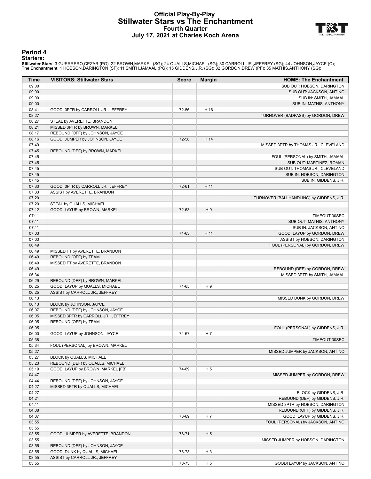#### **Official Play-By-Play Stillwater Stars vs The Enchantment Fourth Quarter July 17, 2021 at Charles Koch Arena**



#### **Period 4**

#### **Starters:**

Stillwater Stars: 3 GUERRERO,CEZAR (PG); 22 BROWN,MARKEL (SG); 24 QUALLS,MICHAEL (SG); 30 CARROLL JR.,JEFFREY (SG); 44 JOHNSON,JAYCE (C);<br>The Enchantment: 1 HOBSON,DARINGTON (SF); 11 SMITH,JAMAAL (PG); 15 GIDDENS,J.R. (SG)

| Time           | <b>VISITORS: Stillwater Stars</b>   | <b>Score</b> | <b>Margin</b>  | <b>HOME: The Enchantment</b>             |
|----------------|-------------------------------------|--------------|----------------|------------------------------------------|
| 09:00          |                                     |              |                | SUB OUT: HOBSON, DARINGTON               |
| 09:00          |                                     |              |                | SUB OUT: JACKSON, ANTINO                 |
| 09:00          |                                     |              |                | SUB IN: SMITH, JAMAAL                    |
| 09:00          |                                     |              |                | SUB IN: MATHIS, ANTHONY                  |
| 08:41          | GOOD! 3PTR by CARROLL JR., JEFFREY  | 72-56        | H 16           |                                          |
| 08:27          |                                     |              |                | TURNOVER (BADPASS) by GORDON, DREW       |
| 08:27          | STEAL by AVERETTE, BRANDON          |              |                |                                          |
| 08:21          | MISSED 3PTR by BROWN, MARKEL        |              |                |                                          |
| 08:17          | REBOUND (OFF) by JOHNSON, JAYCE     |              |                |                                          |
| 08:16          | GOOD! JUMPER by JOHNSON, JAYCE      | 72-58        | H 14           |                                          |
| 07:49          |                                     |              |                | MISSED 3PTR by THOMAS JR., CLEVELAND     |
| 07:45<br>07:45 | REBOUND (DEF) by BROWN, MARKEL      |              |                | FOUL (PERSONAL) by SMITH, JAMAAL         |
| 07:45          |                                     |              |                | SUB OUT: MARTINEZ, ROMAN                 |
| 07:45          |                                     |              |                | SUB OUT: THOMAS JR., CLEVELAND           |
| 07:45          |                                     |              |                | SUB IN: HOBSON, DARINGTON                |
| 07:45          |                                     |              |                | SUB IN: GIDDENS, J.R.                    |
| 07:33          | GOOD! 3PTR by CARROLL JR., JEFFREY  | 72-61        | H 11           |                                          |
| 07:33          | ASSIST by AVERETTE, BRANDON         |              |                |                                          |
| 07:20          |                                     |              |                | TURNOVER (BALLHANDLING) by GIDDENS, J.R. |
| 07:20          | STEAL by QUALLS, MICHAEL            |              |                |                                          |
| 07:12          | GOOD! LAYUP by BROWN, MARKEL        | 72-63        | H9             |                                          |
| 07:11          |                                     |              |                | TIMEOUT 30SEC                            |
| 07:11          |                                     |              |                | SUB OUT: MATHIS, ANTHONY                 |
| 07:11          |                                     |              |                | SUB IN: JACKSON, ANTINO                  |
| 07:03          |                                     | 74-63        | H 11           | GOOD! LAYUP by GORDON, DREW              |
| 07:03          |                                     |              |                | ASSIST by HOBSON, DARINGTON              |
| 06:49          |                                     |              |                | FOUL (PERSONAL) by GORDON, DREW          |
| 06:49          | MISSED FT by AVERETTE, BRANDON      |              |                |                                          |
| 06:49          | REBOUND (OFF) by TEAM               |              |                |                                          |
| 06:49          | MISSED FT by AVERETTE, BRANDON      |              |                |                                          |
| 06:49          |                                     |              |                | REBOUND (DEF) by GORDON, DREW            |
| 06:34          |                                     |              |                | MISSED 3PTR by SMITH, JAMAAL             |
| 06:29          | REBOUND (DEF) by BROWN, MARKEL      |              |                |                                          |
| 06:25          | GOOD! LAYUP by QUALLS, MICHAEL      | 74-65        | H9             |                                          |
| 06:25<br>06:13 | ASSIST by CARROLL JR., JEFFREY      |              |                |                                          |
| 06:13          | BLOCK by JOHNSON, JAYCE             |              |                | MISSED DUNK by GORDON, DREW              |
| 06:07          | REBOUND (DEF) by JOHNSON, JAYCE     |              |                |                                          |
| 06:05          | MISSED 3PTR by CARROLL JR., JEFFREY |              |                |                                          |
| 06:05          | REBOUND (OFF) by TEAM               |              |                |                                          |
| 06:05          |                                     |              |                | FOUL (PERSONAL) by GIDDENS, J.R.         |
| 06:00          | GOOD! LAYUP by JOHNSON, JAYCE       | 74-67        | H 7            |                                          |
| 05:38          |                                     |              |                | TIMEOUT 30SEC                            |
| 05:34          | FOUL (PERSONAL) by BROWN, MARKEL    |              |                |                                          |
| 05:27          |                                     |              |                | MISSED JUMPER by JACKSON, ANTINO         |
| 05:27          | BLOCK by QUALLS, MICHAEL            |              |                |                                          |
| 05:23          | REBOUND (DEF) by QUALLS, MICHAEL    |              |                |                                          |
| 05:19          | GOOD! LAYUP by BROWN, MARKEL [FB]   | 74-69        | H <sub>5</sub> |                                          |
| 04:47          |                                     |              |                | MISSED JUMPER by GORDON, DREW            |
| 04:44          | REBOUND (DEF) by JOHNSON, JAYCE     |              |                |                                          |
| 04:27          | MISSED 3PTR by QUALLS, MICHAEL      |              |                |                                          |
| 04:27          |                                     |              |                | BLOCK by GIDDENS, J.R.                   |
| 04:21          |                                     |              |                | REBOUND (DEF) by GIDDENS, J.R.           |
| 04:11          |                                     |              |                | MISSED 3PTR by HOBSON, DARINGTON         |
| 04:08          |                                     |              |                | REBOUND (OFF) by GIDDENS, J.R.           |
| 04:07          |                                     | 76-69        | H 7            | GOOD! LAYUP by GIDDENS, J.R.             |
| 03:55          |                                     |              |                | FOUL (PERSONAL) by JACKSON, ANTINO       |
| 03:55          |                                     |              |                |                                          |
| 03:55<br>03:55 | GOOD! JUMPER by AVERETTE, BRANDON   | 76-71        | H <sub>5</sub> | MISSED JUMPER by HOBSON, DARINGTON       |
| 03:55          | REBOUND (DEF) by JOHNSON, JAYCE     |              |                |                                          |
| 03:55          | GOOD! DUNK by QUALLS, MICHAEL       | 76-73        | H <sub>3</sub> |                                          |
| 03:55          | ASSIST by CARROLL JR., JEFFREY      |              |                |                                          |
| 03:55          |                                     | 78-73        | H <sub>5</sub> | GOOD! LAYUP by JACKSON, ANTINO           |
|                |                                     |              |                |                                          |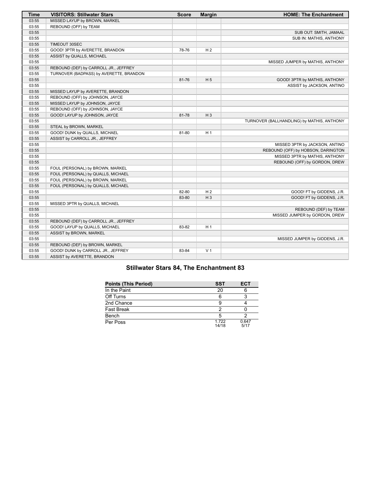| <b>Time</b> | <b>VISITORS: Stillwater Stars</b>       | <b>Score</b> | <b>Margin</b>  | <b>HOME: The Enchantment</b>               |
|-------------|-----------------------------------------|--------------|----------------|--------------------------------------------|
| 03:55       | MISSED LAYUP by BROWN, MARKEL           |              |                |                                            |
| 03:55       | REBOUND (OFF) by TEAM                   |              |                |                                            |
| 03:55       |                                         |              |                | SUB OUT: SMITH, JAMAAL                     |
| 03:55       |                                         |              |                | SUB IN: MATHIS, ANTHONY                    |
| 03:55       | TIMEOUT 30SEC                           |              |                |                                            |
| 03:55       | GOOD! 3PTR by AVERETTE, BRANDON         | 78-76        | H <sub>2</sub> |                                            |
| 03:55       | ASSIST by QUALLS, MICHAEL               |              |                |                                            |
| 03:55       |                                         |              |                | MISSED JUMPER by MATHIS, ANTHONY           |
| 03:55       | REBOUND (DEF) by CARROLL JR., JEFFREY   |              |                |                                            |
| 03:55       | TURNOVER (BADPASS) by AVERETTE, BRANDON |              |                |                                            |
| 03:55       |                                         | 81-76        | H <sub>5</sub> | GOOD! 3PTR by MATHIS, ANTHONY              |
| 03:55       |                                         |              |                | ASSIST by JACKSON, ANTINO                  |
| 03:55       | MISSED LAYUP by AVERETTE, BRANDON       |              |                |                                            |
| 03:55       | REBOUND (OFF) by JOHNSON, JAYCE         |              |                |                                            |
| 03:55       | MISSED LAYUP by JOHNSON, JAYCE          |              |                |                                            |
| 03:55       | REBOUND (OFF) by JOHNSON, JAYCE         |              |                |                                            |
| 03:55       | GOOD! LAYUP by JOHNSON, JAYCE           | 81-78        | $H_3$          |                                            |
| 03:55       |                                         |              |                | TURNOVER (BALLHANDLING) by MATHIS, ANTHONY |
| 03:55       | STEAL by BROWN, MARKEL                  |              |                |                                            |
| 03:55       | GOOD! DUNK by QUALLS, MICHAEL           | 81-80        | H <sub>1</sub> |                                            |
| 03:55       | ASSIST by CARROLL JR., JEFFREY          |              |                |                                            |
| 03:55       |                                         |              |                | MISSED 3PTR by JACKSON, ANTINO             |
| 03:55       |                                         |              |                | REBOUND (OFF) by HOBSON, DARINGTON         |
| 03:55       |                                         |              |                | MISSED 3PTR by MATHIS, ANTHONY             |
| 03:55       |                                         |              |                | REBOUND (OFF) by GORDON, DREW              |
| 03:55       | FOUL (PERSONAL) by BROWN, MARKEL        |              |                |                                            |
| 03:55       | FOUL (PERSONAL) by QUALLS, MICHAEL      |              |                |                                            |
| 03:55       | FOUL (PERSONAL) by BROWN, MARKEL        |              |                |                                            |
| 03:55       | FOUL (PERSONAL) by QUALLS, MICHAEL      |              |                |                                            |
| 03:55       |                                         | 82-80        | H <sub>2</sub> | GOOD! FT by GIDDENS, J.R.                  |
| 03:55       |                                         | 83-80        | $H_3$          | GOOD! FT by GIDDENS, J.R.                  |
| 03:55       | MISSED 3PTR by QUALLS, MICHAEL          |              |                |                                            |
| 03:55       |                                         |              |                | REBOUND (DEF) by TEAM                      |
| 03:55       |                                         |              |                | MISSED JUMPER by GORDON, DREW              |
| 03:55       | REBOUND (DEF) by CARROLL JR., JEFFREY   |              |                |                                            |
| 03:55       | GOOD! LAYUP by QUALLS, MICHAEL          | 83-82        | H <sub>1</sub> |                                            |
| 03:55       | ASSIST by BROWN, MARKEL                 |              |                |                                            |
| 03:55       |                                         |              |                | MISSED JUMPER by GIDDENS, J.R.             |
| 03:55       | REBOUND (DEF) by BROWN, MARKEL          |              |                |                                            |
| 03:55       | GOOD! DUNK by CARROLL JR., JEFFREY      | 83-84        | V <sub>1</sub> |                                            |
| 03:55       | ASSIST by AVERETTE, BRANDON             |              |                |                                            |

## **Stillwater Stars 84, The Enchantment 83**

| <b>Points (This Period)</b> | <b>SST</b>    | ECT           |
|-----------------------------|---------------|---------------|
| In the Paint                | 20            |               |
| Off Turns                   |               |               |
| 2nd Chance                  |               |               |
| <b>Fast Break</b>           |               |               |
| Bench                       |               |               |
| Per Poss                    | 1722<br>14/18 | 0.647<br>5/17 |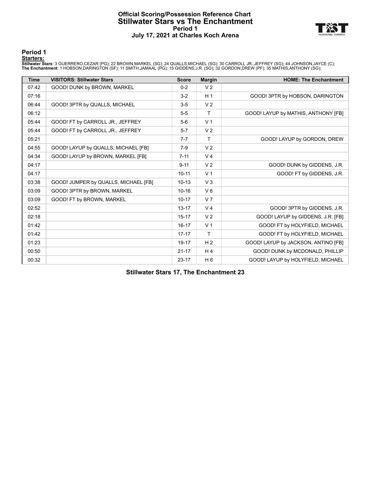#### **Official Scoring/Possession Reference Chart Stillwater Stars vs The Enchantment Period 1 July 17, 2021 at Charles Koch Arena**



#### **Period 1**

#### **Starters:**

Stillwater Stars: 3 GUERRERO,CEZAR (PG); 22 BROWN,MARKEL (SG); 24 QUALLS,MICHAEL (SG); 30 CARROLL JR.,JEFFREY (SG); 44 JOHNSON,JAYCE (C);<br>The Enchantment: 1 HOBSON,DARINGTON (SF); 11 SMITH,JAMAAL (PG); 15 GIDDENS,J.R. (SG)

| <b>Time</b> | <b>VISITORS: Stillwater Stars</b>    | <b>Score</b> | <b>Margin</b>  | <b>HOME: The Enchantment</b>        |
|-------------|--------------------------------------|--------------|----------------|-------------------------------------|
| 07:42       | GOOD! DUNK by BROWN, MARKEL          | $0 - 2$      | V <sub>2</sub> |                                     |
| 07:16       |                                      | $3-2$        | H <sub>1</sub> | GOOD! 3PTR by HOBSON, DARINGTON     |
| 06:44       | GOOD! 3PTR by QUALLS, MICHAEL        | $3-5$        | V <sub>2</sub> |                                     |
| 06:12       |                                      | $5-5$        | Τ              | GOOD! LAYUP by MATHIS, ANTHONY [FB] |
| 05:44       | GOOD! FT by CARROLL JR., JEFFREY     | $5-6$        | V <sub>1</sub> |                                     |
| 05:44       | GOOD! FT by CARROLL JR., JEFFREY     | $5 - 7$      | V <sub>2</sub> |                                     |
| 05:21       |                                      | $7 - 7$      | Τ              | GOOD! LAYUP by GORDON, DREW         |
| 04:55       | GOOD! LAYUP by QUALLS, MICHAEL [FB]  | $7-9$        | V <sub>2</sub> |                                     |
| 04:34       | GOOD! LAYUP by BROWN, MARKEL [FB]    | $7 - 11$     | V <sub>4</sub> |                                     |
| 04:17       |                                      | $9 - 11$     | V <sub>2</sub> | GOOD! DUNK by GIDDENS, J.R.         |
| 04:17       |                                      | $10 - 11$    | V <sub>1</sub> | GOOD! FT by GIDDENS, J.R.           |
| 03:38       | GOOD! JUMPER by QUALLS, MICHAEL [FB] | $10 - 13$    | V <sub>3</sub> |                                     |
| 03:09       | GOOD! 3PTR by BROWN, MARKEL          | $10 - 16$    | $V_6$          |                                     |
| 03:09       | GOOD! FT by BROWN, MARKEL            | $10 - 17$    | V <sub>7</sub> |                                     |
| 02:52       |                                      | $13 - 17$    | V <sub>4</sub> | GOOD! 3PTR by GIDDENS, J.R.         |
| 02:18       |                                      | $15 - 17$    | V <sub>2</sub> | GOOD! LAYUP by GIDDENS, J.R. [FB]   |
| 01:42       |                                      | $16 - 17$    | V <sub>1</sub> | GOOD! FT by HOLYFIELD, MICHAEL      |
| 01:42       |                                      | $17 - 17$    | Τ              | GOOD! FT by HOLYFIELD, MICHAEL      |
| 01:23       |                                      | 19-17        | H <sub>2</sub> | GOOD! LAYUP by JACKSON, ANTINO [FB] |
| 00:50       |                                      | $21 - 17$    | H <sub>4</sub> | GOOD! DUNK by MCDONALD, PHILLIP     |
| 00:32       |                                      | $23 - 17$    | H <sub>6</sub> | GOOD! LAYUP by HOLYFIELD, MICHAEL   |

**Stillwater Stars 17, The Enchantment 23**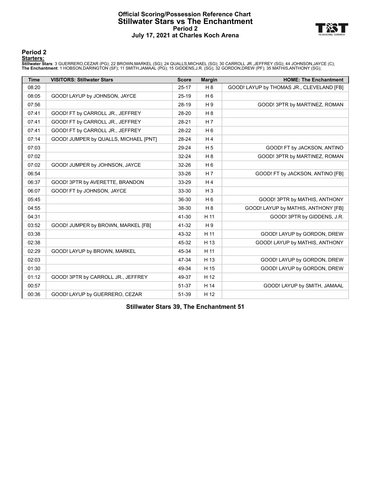#### **Official Scoring/Possession Reference Chart Stillwater Stars vs The Enchantment Period 2 July 17, 2021 at Charles Koch Arena**



#### **Period 2**

#### **Starters:**

Stillwater Stars: 3 GUERRERO,CEZAR (PG); 22 BROWN,MARKEL (SG); 24 QUALLS,MICHAEL (SG); 30 CARROLL JR.,JEFFREY (SG); 44 JOHNSON,JAYCE (C);<br>The Enchantment: 1 HOBSON,DARINGTON (SF); 11 SMITH,JAMAAL (PG); 15 GIDDENS,J.R. (SG)

| <b>Time</b> | <b>VISITORS: Stillwater Stars</b>     | <b>Score</b> | <b>Margin</b>  | <b>HOME: The Enchantment</b>              |
|-------------|---------------------------------------|--------------|----------------|-------------------------------------------|
| 08:20       |                                       | $25-17$      | H 8            | GOOD! LAYUP by THOMAS JR., CLEVELAND [FB] |
| 08:05       | GOOD! LAYUP by JOHNSON, JAYCE         | $25-19$      | $H_6$          |                                           |
| 07:56       |                                       | 28-19        | H 9            | GOOD! 3PTR by MARTINEZ, ROMAN             |
| 07:41       | GOOD! FT by CARROLL JR., JEFFREY      | 28-20        | H <sub>8</sub> |                                           |
| 07:41       | GOOD! FT by CARROLL JR., JEFFREY      | 28-21        | H <sub>7</sub> |                                           |
| 07:41       | GOOD! FT by CARROLL JR., JEFFREY      | 28-22        | H <sub>6</sub> |                                           |
| 07:14       | GOOD! JUMPER by QUALLS, MICHAEL [PNT] | 28-24        | H <sub>4</sub> |                                           |
| 07:03       |                                       | 29-24        | H <sub>5</sub> | GOOD! FT by JACKSON, ANTINO               |
| 07:02       |                                       | 32-24        | H <sub>8</sub> | GOOD! 3PTR by MARTINEZ, ROMAN             |
| 07:02       | GOOD! JUMPER by JOHNSON, JAYCE        | 32-26        | $H_6$          |                                           |
| 06:54       |                                       | 33-26        | H <sub>7</sub> | GOOD! FT by JACKSON, ANTINO [FB]          |
| 06:37       | GOOD! 3PTR by AVERETTE, BRANDON       | 33-29        | H <sub>4</sub> |                                           |
| 06:07       | GOOD! FT by JOHNSON, JAYCE            | 33-30        | $H_3$          |                                           |
| 05:45       |                                       | 36-30        | $H_6$          | GOOD! 3PTR by MATHIS, ANTHONY             |
| 04:55       |                                       | 38-30        | H <sub>8</sub> | GOOD! LAYUP by MATHIS, ANTHONY [FB]       |
| 04:31       |                                       | 41-30        | H 11           | GOOD! 3PTR by GIDDENS, J.R.               |
| 03:52       | GOOD! JUMPER by BROWN, MARKEL [FB]    | 41-32        | H <sub>9</sub> |                                           |
| 03:38       |                                       | 43-32        | H 11           | GOOD! LAYUP by GORDON, DREW               |
| 02:38       |                                       | 45-32        | H 13           | GOOD! LAYUP by MATHIS, ANTHONY            |
| 02:29       | GOOD! LAYUP by BROWN, MARKEL          | 45-34        | H 11           |                                           |
| 02:03       |                                       | 47-34        | H 13           | GOOD! LAYUP by GORDON, DREW               |
| 01:30       |                                       | 49-34        | H 15           | GOOD! LAYUP by GORDON, DREW               |
| 01:12       | GOOD! 3PTR by CARROLL JR., JEFFREY    | 49-37        | H 12           |                                           |
| 00:57       |                                       | 51-37        | H 14           | GOOD! LAYUP by SMITH, JAMAAL              |
| 00:36       | GOOD! LAYUP by GUERRERO, CEZAR        | 51-39        | H 12           |                                           |

**Stillwater Stars 39, The Enchantment 51**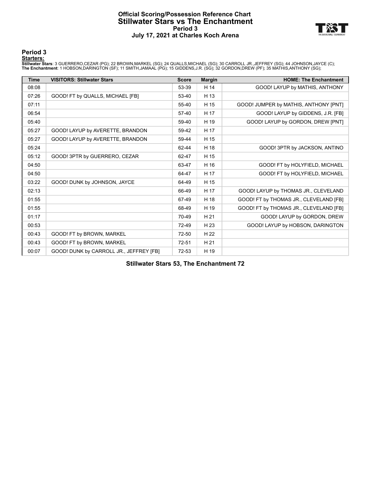#### **Official Scoring/Possession Reference Chart Stillwater Stars vs The Enchantment Period 3 July 17, 2021 at Charles Koch Arena**



#### **Period 3**

#### **Starters:**

Stillwater Stars: 3 GUERRERO,CEZAR (PG); 22 BROWN,MARKEL (SG); 24 QUALLS,MICHAEL (SG); 30 CARROLL JR.,JEFFREY (SG); 44 JOHNSON,JAYCE (C);<br>The Enchantment: 1 HOBSON,DARINGTON (SF); 11 SMITH,JAMAAL (PG); 15 GIDDENS,J.R. (SG)

| <b>Time</b> | <b>VISITORS: Stillwater Stars</b>       | <b>Score</b> | <b>Margin</b> | <b>HOME: The Enchantment</b>           |
|-------------|-----------------------------------------|--------------|---------------|----------------------------------------|
| 08:08       |                                         | 53-39        | H 14          | GOOD! LAYUP by MATHIS, ANTHONY         |
| 07:26       | GOOD! FT by QUALLS, MICHAEL [FB]        | 53-40        | H 13          |                                        |
| 07:11       |                                         | 55-40        | H 15          | GOOD! JUMPER by MATHIS, ANTHONY [PNT]  |
| 06:54       |                                         | 57-40        | H 17          | GOOD! LAYUP by GIDDENS, J.R. [FB]      |
| 05:40       |                                         | 59-40        | H 19          | GOOD! LAYUP by GORDON, DREW [PNT]      |
| 05:27       | GOOD! LAYUP by AVERETTE, BRANDON        | 59-42        | H 17          |                                        |
| 05:27       | GOOD! LAYUP by AVERETTE, BRANDON        | 59-44        | H 15          |                                        |
| 05:24       |                                         | 62-44        | H 18          | GOOD! 3PTR by JACKSON, ANTINO          |
| 05:12       | GOOD! 3PTR by GUERRERO, CEZAR           | 62-47        | H 15          |                                        |
| 04:50       |                                         | 63-47        | H 16          | GOOD! FT by HOLYFIELD, MICHAEL         |
| 04:50       |                                         | 64-47        | H 17          | GOOD! FT by HOLYFIELD, MICHAEL         |
| 03:22       | GOOD! DUNK by JOHNSON, JAYCE            | 64-49        | H 15          |                                        |
| 02:13       |                                         | 66-49        | H 17          | GOOD! LAYUP by THOMAS JR., CLEVELAND   |
| 01:55       |                                         | 67-49        | H 18          | GOOD! FT by THOMAS JR., CLEVELAND [FB] |
| 01:55       |                                         | 68-49        | H 19          | GOOD! FT by THOMAS JR., CLEVELAND [FB] |
| 01:17       |                                         | 70-49        | H 21          | GOOD! LAYUP by GORDON, DREW            |
| 00:53       |                                         | 72-49        | H 23          | GOOD! LAYUP by HOBSON, DARINGTON       |
| 00:43       | GOOD! FT by BROWN, MARKEL               | 72-50        | H 22          |                                        |
| 00:43       | GOOD! FT by BROWN, MARKEL               | $72 - 51$    | H 21          |                                        |
| 00:07       | GOOD! DUNK by CARROLL JR., JEFFREY [FB] | 72-53        | H 19          |                                        |

**Stillwater Stars 53, The Enchantment 72**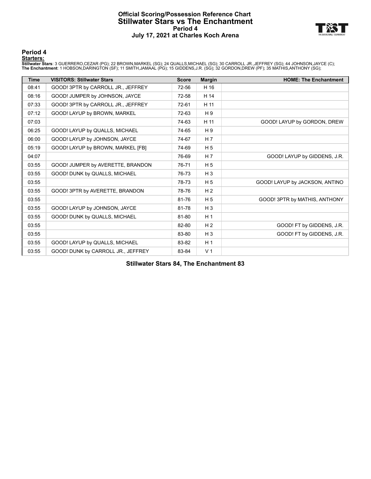#### **Official Scoring/Possession Reference Chart Stillwater Stars vs The Enchantment Period 4 July 17, 2021 at Charles Koch Arena**



**Period 4**

#### **Starters:**

Stillwater Stars: 3 GUERRERO,CEZAR (PG); 22 BROWN,MARKEL (SG); 24 QUALLS,MICHAEL (SG); 30 CARROLL JR.,JEFFREY (SG); 44 JOHNSON,JAYCE (C);<br>The Enchantment: 1 HOBSON,DARINGTON (SF); 11 SMITH,JAMAAL (PG); 15 GIDDENS,J.R. (SG)

| <b>Time</b> | <b>VISITORS: Stillwater Stars</b>  | <b>Score</b> | <b>Margin</b>  | <b>HOME: The Enchantment</b>   |
|-------------|------------------------------------|--------------|----------------|--------------------------------|
| 08:41       | GOOD! 3PTR by CARROLL JR., JEFFREY | 72-56        | H 16           |                                |
| 08:16       | GOOD! JUMPER by JOHNSON, JAYCE     | 72-58        | H 14           |                                |
| 07:33       | GOOD! 3PTR by CARROLL JR., JEFFREY | 72-61        | H 11           |                                |
| 07:12       | GOOD! LAYUP by BROWN, MARKEL       | 72-63        | H <sub>9</sub> |                                |
| 07:03       |                                    | 74-63        | H 11           | GOOD! LAYUP by GORDON, DREW    |
| 06:25       | GOOD! LAYUP by QUALLS, MICHAEL     | 74-65        | H <sub>9</sub> |                                |
| 06:00       | GOOD! LAYUP by JOHNSON, JAYCE      | 74-67        | H <sub>7</sub> |                                |
| 05:19       | GOOD! LAYUP by BROWN, MARKEL [FB]  | 74-69        | H <sub>5</sub> |                                |
| 04:07       |                                    | 76-69        | H <sub>7</sub> | GOOD! LAYUP by GIDDENS, J.R.   |
| 03:55       | GOOD! JUMPER by AVERETTE, BRANDON  | 76-71        | H <sub>5</sub> |                                |
| 03:55       | GOOD! DUNK by QUALLS, MICHAEL      | 76-73        | $H_3$          |                                |
| 03:55       |                                    | 78-73        | H <sub>5</sub> | GOOD! LAYUP by JACKSON, ANTINO |
| 03:55       | GOOD! 3PTR by AVERETTE, BRANDON    | 78-76        | H <sub>2</sub> |                                |
| 03:55       |                                    | 81-76        | H <sub>5</sub> | GOOD! 3PTR by MATHIS, ANTHONY  |
| 03:55       | GOOD! LAYUP by JOHNSON, JAYCE      | 81-78        | $H_3$          |                                |
| 03:55       | GOOD! DUNK by QUALLS, MICHAEL      | 81-80        | H <sub>1</sub> |                                |
| 03:55       |                                    | 82-80        | H <sub>2</sub> | GOOD! FT by GIDDENS, J.R.      |
| 03:55       |                                    | 83-80        | $H_3$          | GOOD! FT by GIDDENS, J.R.      |
| 03:55       | GOOD! LAYUP by QUALLS, MICHAEL     | 83-82        | H <sub>1</sub> |                                |
| 03:55       | GOOD! DUNK by CARROLL JR., JEFFREY | 83-84        | V <sub>1</sub> |                                |

**Stillwater Stars 84, The Enchantment 83**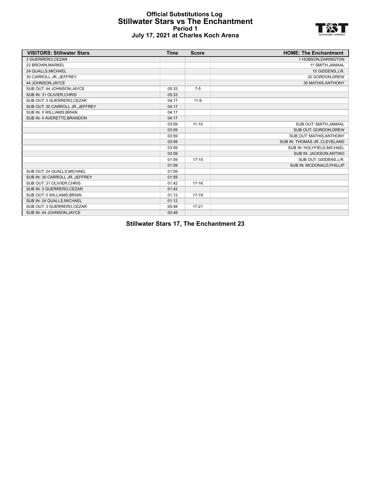#### **Official Substitutions Log Stillwater Stars vs The Enchantment Period 1 July 17, 2021 at Charles Koch Arena**



| <b>VISITORS: Stillwater Stars</b> | <b>Time</b> | <b>Score</b> | <b>HOME: The Enchantment</b>  |
|-----------------------------------|-------------|--------------|-------------------------------|
| 3 GUERRERO, CEZAR                 |             |              | 1 HOBSON, DARINGTON           |
| 22 BROWN, MARKEL                  |             |              | 11 SMITH, JAMAAL              |
| 24 QUALLS, MICHAEL                |             |              | 15 GIDDENS, J.R.              |
| 30 CARROLL JR., JEFFREY           |             |              | 32 GORDON, DREW               |
| 44 JOHNSON, JAYCE                 |             |              | 35 MATHIS, ANTHONY            |
| SUB OUT: 44 JOHNSON, JAYCE        | 05:33       | $7-5$        |                               |
| SUB IN: 31 OLIVIER, CHRIS         | 05:33       |              |                               |
| SUB OUT: 3 GUERRERO, CEZAR        | 04:17       | $11 - 9$     |                               |
| SUB OUT: 30 CARROLL JR., JEFFREY  | 04:17       |              |                               |
| SUB IN: 0 WILLIAMS, BRIAN         | 04:17       |              |                               |
| SUB IN: 4 AVERETTE, BRANDON       | 04:17       |              |                               |
|                                   | 03:59       | $11 - 10$    | SUB OUT: SMITH, JAMAAL        |
|                                   | 03:59       |              | SUB OUT: GORDON, DREW         |
|                                   | 03:59       |              | SUB OUT: MATHIS, ANTHONY      |
|                                   | 03:59       |              | SUB IN: THOMAS JR., CLEVELAND |
|                                   | 03:59       |              | SUB IN: HOLYFIELD, MICHAEL    |
|                                   | 03:59       |              | SUB IN: JACKSON, ANTINO       |
|                                   | 01:59       | $17 - 15$    | SUB OUT: GIDDENS, J.R.        |
|                                   | 01:59       |              | SUB IN: MCDONALD, PHILLIP     |
| SUB OUT: 24 QUALLS, MICHAEL       | 01:59       |              |                               |
| SUB IN: 30 CARROLL JR., JEFFREY   | 01:59       |              |                               |
| SUB OUT: 31 OLIVIER, CHRIS        | 01:42       | $17 - 16$    |                               |
| SUB IN: 3 GUERRERO, CEZAR         | 01:42       |              |                               |
| SUB OUT: 0 WILLIAMS, BRIAN        | 01:12       | $17-19$      |                               |
| SUB IN: 24 QUALLS, MICHAEL        | 01:12       |              |                               |
| SUB OUT: 3 GUERRERO, CEZAR        | 00:48       | $17 - 21$    |                               |
| SUB IN: 44 JOHNSON, JAYCE         | 00:48       |              |                               |

**Stillwater Stars 17, The Enchantment 23**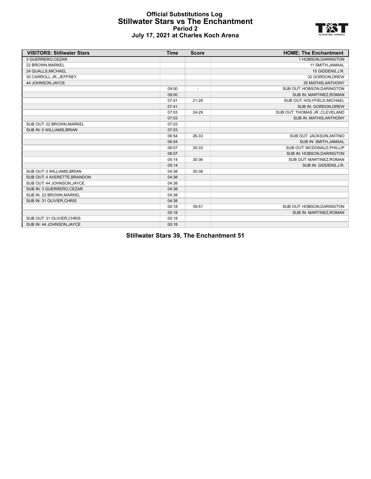#### **Official Substitutions Log Stillwater Stars vs The Enchantment Period 2 July 17, 2021 at Charles Koch Arena**



| <b>VISITORS: Stillwater Stars</b> | <b>Time</b> | <b>Score</b>             | <b>HOME: The Enchantment</b>   |
|-----------------------------------|-------------|--------------------------|--------------------------------|
| 3 GUERRERO, CEZAR                 |             |                          | 1 HOBSON, DARINGTON            |
| 22 BROWN, MARKEL                  |             |                          | 11 SMITH, JAMAAL               |
| 24 QUALLS, MICHAEL                |             |                          | 15 GIDDENS, J.R.               |
| 30 CARROLL JR., JEFFREY           |             |                          | 32 GORDON, DREW                |
| 44 JOHNSON, JAYCE                 |             |                          | 35 MATHIS, ANTHONY             |
|                                   | 09:00       | $\overline{\phantom{a}}$ | SUB OUT: HOBSON, DARINGTON     |
|                                   | 09:00       |                          | SUB IN: MARTINEZ, ROMAN        |
|                                   | 07:41       | $21 - 28$                | SUB OUT: HOLYFIELD.MICHAEL     |
|                                   | 07:41       |                          | SUB IN: GORDON, DREW           |
|                                   | 07:03       | 24-29                    | SUB OUT: THOMAS JR., CLEVELAND |
|                                   | 07:03       |                          | SUB IN: MATHIS, ANTHONY        |
| SUB OUT: 22 BROWN, MARKEL         | 07:03       |                          |                                |
| SUB IN: 0 WILLIAMS, BRIAN         | 07:03       |                          |                                |
|                                   | 06:54       | 26-33                    | SUB OUT: JACKSON, ANTINO       |
|                                   | 06:54       |                          | SUB IN: SMITH, JAMAAL          |
|                                   | 06:07       | 30-33                    | SUB OUT: MCDONALD.PHILLIP      |
|                                   | 06:07       |                          | SUB IN: HOBSON, DARINGTON      |
|                                   | 05:14       | 30-36                    | SUB OUT: MARTINEZ, ROMAN       |
|                                   | 05:14       |                          | SUB IN: GIDDENS, J.R.          |
| SUB OUT: 0 WILLIAMS.BRIAN         | 04:38       | 30-38                    |                                |
| SUB OUT: 4 AVERETTE, BRANDON      | 04:38       |                          |                                |
| SUB OUT: 44 JOHNSON, JAYCE        | 04:38       |                          |                                |
| SUB IN: 3 GUERRERO, CEZAR         | 04:38       |                          |                                |
| SUB IN: 22 BROWN, MARKEL          | 04:38       |                          |                                |
| SUB IN: 31 OLIVIER, CHRIS         | 04:38       |                          |                                |
|                                   | 00:18       | 39-51                    | SUB OUT: HOBSON, DARINGTON     |
|                                   | 00:18       |                          | SUB IN: MARTINEZ, ROMAN        |
| SUB OUT: 31 OLIVIER, CHRIS        | 00:18       |                          |                                |
| SUB IN: 44 JOHNSON, JAYCE         | 00:18       |                          |                                |

**Stillwater Stars 39, The Enchantment 51**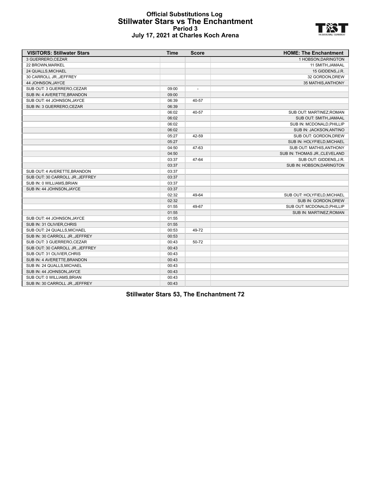#### **Official Substitutions Log Stillwater Stars vs The Enchantment Period 3 July 17, 2021 at Charles Koch Arena**



| <b>VISITORS: Stillwater Stars</b> | <b>Time</b> | <b>Score</b>             | <b>HOME: The Enchantment</b>  |
|-----------------------------------|-------------|--------------------------|-------------------------------|
| 3 GUERRERO, CEZAR                 |             |                          | 1 HOBSON, DARINGTON           |
| 22 BROWN, MARKEL                  |             |                          | 11 SMITH, JAMAAL              |
| 24 QUALLS, MICHAEL                |             |                          | 15 GIDDENS, J.R.              |
| 30 CARROLL JR., JEFFREY           |             |                          | 32 GORDON, DREW               |
| 44 JOHNSON, JAYCE                 |             |                          | 35 MATHIS, ANTHONY            |
| SUB OUT: 3 GUERRERO, CEZAR        | 09:00       | $\overline{\phantom{a}}$ |                               |
| SUB IN: 4 AVERETTE, BRANDON       | 09:00       |                          |                               |
| SUB OUT: 44 JOHNSON, JAYCE        | 06:39       | 40-57                    |                               |
| SUB IN: 3 GUERRERO, CEZAR         | 06:39       |                          |                               |
|                                   | 06:02       | 40-57                    | SUB OUT: MARTINEZ, ROMAN      |
|                                   | 06:02       |                          | SUB OUT: SMITH, JAMAAL        |
|                                   | 06:02       |                          | SUB IN: MCDONALD, PHILLIP     |
|                                   | 06:02       |                          | SUB IN: JACKSON, ANTINO       |
|                                   | 05:27       | 42-59                    | SUB OUT: GORDON, DREW         |
|                                   | 05:27       |                          | SUB IN: HOLYFIELD, MICHAEL    |
|                                   | 04:50       | 47-63                    | SUB OUT: MATHIS, ANTHONY      |
|                                   | 04:50       |                          | SUB IN: THOMAS JR., CLEVELAND |
|                                   | 03:37       | 47-64                    | SUB OUT: GIDDENS, J.R.        |
|                                   | 03:37       |                          | SUB IN: HOBSON, DARINGTON     |
| SUB OUT: 4 AVERETTE, BRANDON      | 03:37       |                          |                               |
| SUB OUT: 30 CARROLL JRJEFFREY     | 03:37       |                          |                               |
| SUB IN: 0 WILLIAMS, BRIAN         | 03:37       |                          |                               |
| SUB IN: 44 JOHNSON, JAYCE         | 03:37       |                          |                               |
|                                   | 02:32       | 49-64                    | SUB OUT: HOLYFIELD, MICHAEL   |
|                                   | 02:32       |                          | SUB IN: GORDON, DREW          |
|                                   | 01:55       | 49-67                    | SUB OUT: MCDONALD, PHILLIP    |
|                                   | 01:55       |                          | SUB IN: MARTINEZ, ROMAN       |
| SUB OUT: 44 JOHNSON, JAYCE        | 01:55       |                          |                               |
| SUB IN: 31 OLIVIER, CHRIS         | 01:55       |                          |                               |
| SUB OUT: 24 QUALLS, MICHAEL       | 00:53       | 49-72                    |                               |
| SUB IN: 30 CARROLL JR., JEFFREY   | 00:53       |                          |                               |
| SUB OUT: 3 GUERRERO, CEZAR        | 00:43       | 50-72                    |                               |
| SUB OUT: 30 CARROLL JR., JEFFREY  | 00:43       |                          |                               |
| SUB OUT: 31 OLIVIER, CHRIS        | 00:43       |                          |                               |
| SUB IN: 4 AVERETTE, BRANDON       | 00:43       |                          |                               |
| SUB IN: 24 QUALLS, MICHAEL        | 00:43       |                          |                               |
| SUB IN: 44 JOHNSON, JAYCE         | 00:43       |                          |                               |
| SUB OUT: 0 WILLIAMS, BRIAN        | 00:43       |                          |                               |
| SUB IN: 30 CARROLL JR., JEFFREY   | 00:43       |                          |                               |

**Stillwater Stars 53, The Enchantment 72**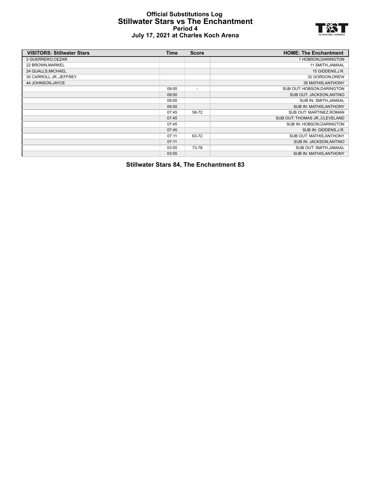#### **Official Substitutions Log Stillwater Stars vs The Enchantment Period 4 July 17, 2021 at Charles Koch Arena**



| <b>VISITORS: Stillwater Stars</b> | Time  | <b>Score</b>             | <b>HOME: The Enchantment</b>   |
|-----------------------------------|-------|--------------------------|--------------------------------|
| 3 GUERRERO, CEZAR                 |       |                          | 1 HOBSON, DARINGTON            |
| 22 BROWN, MARKEL                  |       |                          | 11 SMITH, JAMAAL               |
| 24 QUALLS, MICHAEL                |       |                          | 15 GIDDENS, J.R.               |
| 30 CARROLL JR., JEFFREY           |       |                          | 32 GORDON, DREW                |
| 44 JOHNSON, JAYCE                 |       |                          | 35 MATHIS, ANTHONY             |
|                                   | 09:00 | $\overline{\phantom{a}}$ | SUB OUT: HOBSON, DARINGTON     |
|                                   | 09:00 |                          | SUB OUT: JACKSON, ANTINO       |
|                                   | 09:00 |                          | SUB IN: SMITH, JAMAAL          |
|                                   | 09:00 |                          | SUB IN: MATHIS, ANTHONY        |
|                                   | 07:45 | 58-72                    | SUB OUT: MARTINEZ, ROMAN       |
|                                   | 07:45 |                          | SUB OUT: THOMAS JR., CLEVELAND |
|                                   | 07:45 |                          | SUB IN: HOBSON, DARINGTON      |
|                                   | 07:45 |                          | SUB IN: GIDDENS, J.R.          |
|                                   | 07:11 | 63-72                    | SUB OUT: MATHIS, ANTHONY       |
|                                   | 07:11 |                          | SUB IN: JACKSON, ANTINO        |
|                                   | 03:55 | 73-78                    | SUB OUT: SMITH, JAMAAL         |
|                                   | 03:55 |                          | SUB IN: MATHIS, ANTHONY        |

**Stillwater Stars 84, The Enchantment 83**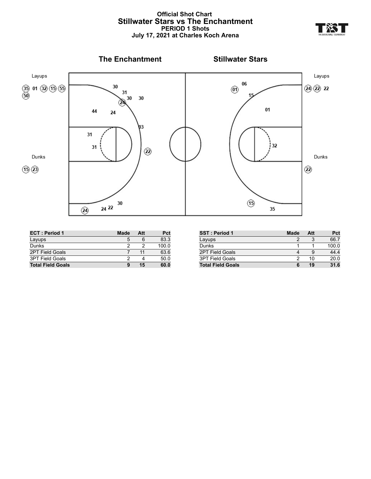#### **Official Shot Chart Stillwater Stars vs The Enchantment PERIOD 1 Shots July 17, 2021 at Charles Koch Arena**



| <b>ECT: Period 1</b>     | Made | Att | Pct   |
|--------------------------|------|-----|-------|
| Layups                   | 5    |     | 83.3  |
| Dunks                    |      |     | 100.0 |
| 2PT Field Goals          |      | 11  | 63.6  |
| 3PT Field Goals          |      |     | 50.0  |
| <b>Total Field Goals</b> | 9    | 15  | 60.0  |

| <b>SST: Period 1</b>     | Made | Att | Pct   |
|--------------------------|------|-----|-------|
| Layups                   | 2    |     | 66.7  |
| Dunks                    |      |     | 100.0 |
| 2PT Field Goals          |      | 9   | 44.4  |
| <b>3PT Field Goals</b>   | 2    | 10  | 20.0  |
| <b>Total Field Goals</b> | 6    | 19  | 31.6  |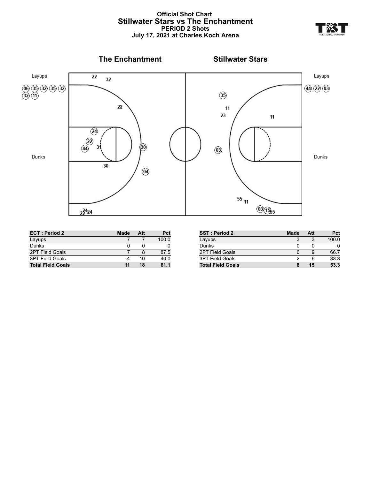

| <b>ECT: Period 2</b>     | <b>Made</b> | Att | Pct   |
|--------------------------|-------------|-----|-------|
| Layups                   |             |     | 100.0 |
| Dunks                    |             |     |       |
| <b>2PT Field Goals</b>   |             |     | 87.5  |
| 3PT Field Goals          |             | 10  | 40.0  |
| <b>Total Field Goals</b> | 11          | 18  | 61.1  |

| SST: Period 2            | <b>Made</b> | Att | Pct   |
|--------------------------|-------------|-----|-------|
| Layups                   |             |     | 100.0 |
| Dunks                    |             |     |       |
| <b>2PT Field Goals</b>   |             |     | 66.7  |
| <b>3PT Field Goals</b>   |             |     | 33.3  |
| <b>Total Field Goals</b> |             | 15  | 53.3  |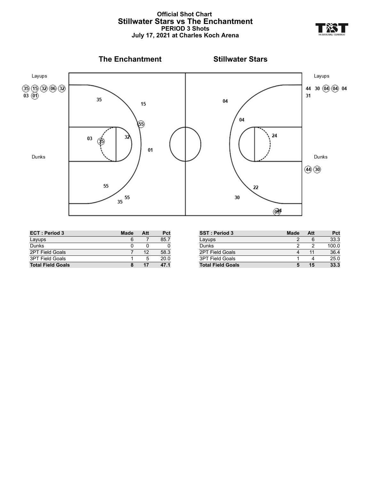#### **Official Shot Chart Stillwater Stars vs The Enchantment PERIOD 3 Shots July 17, 2021 at Charles Koch Arena**



| <b>ECT: Period 3</b>     | Made | Att | Pct  |
|--------------------------|------|-----|------|
| Layups                   |      |     | 85.7 |
| Dunks                    |      |     |      |
| <b>2PT Field Goals</b>   |      | 12  | 58.3 |
| <b>3PT Field Goals</b>   |      | 5   | 20.0 |
| <b>Total Field Goals</b> | 8    | 17  | 47.1 |

| <b>SST: Period 3</b>     | <b>Made</b> | Att | Pct   |
|--------------------------|-------------|-----|-------|
| Layups                   |             | 6   | 33.3  |
| Dunks                    |             |     | 100.0 |
| 2PT Field Goals          |             | 11  | 36.4  |
| <b>3PT Field Goals</b>   |             |     | 25.0  |
| <b>Total Field Goals</b> |             | 15  | 33.3  |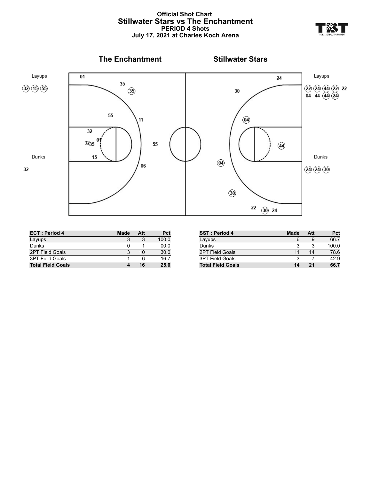#### **Official Shot Chart Stillwater Stars vs The Enchantment PERIOD 4 Shots July 17, 2021 at Charles Koch Arena**



| <b>ECT: Period 4</b>     | Made | Att | Pct   |
|--------------------------|------|-----|-------|
| Layups                   |      |     | 100.0 |
| Dunks                    | n    |     | 00.0  |
| 2PT Field Goals          |      | 10  | 30.0  |
| <b>3PT Field Goals</b>   |      | 6   | 16.7  |
| <b>Total Field Goals</b> |      | 16  | 25.0  |

| <b>SST: Period 4</b>     | Made | Att | Pct   |
|--------------------------|------|-----|-------|
| Layups                   | 6    | 9   | 66.7  |
| Dunks                    | 3    | 3   | 100.0 |
| 2PT Field Goals          | 11   | 14  | 78.6  |
| <b>3PT Field Goals</b>   | 3    |     | 42.9  |
| <b>Total Field Goals</b> | 14   | 21  | 66.7  |

- YZ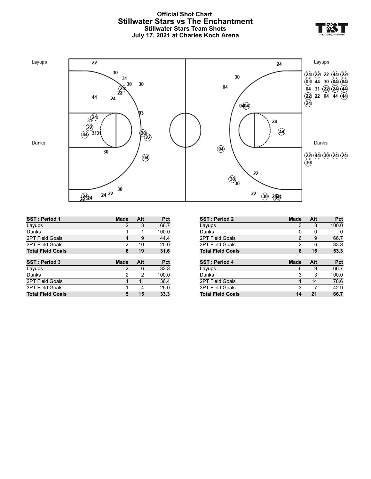#### **Official Shot Chart Stillwater Stars vs The Enchantment Stillwater Stars Team Shots July 17, 2021 at Charles Koch Arena**



| <b>SST: Period 1</b>     | <b>Made</b> | Att | Pct   |
|--------------------------|-------------|-----|-------|
| Layups                   | 2           | 3   | 66.7  |
| Dunks                    | 1           | 1   | 100.0 |
| <b>2PT Field Goals</b>   | 4           | 9   | 44.4  |
| <b>3PT Field Goals</b>   | 2           | 10  | 20.0  |
| <b>Total Field Goals</b> | 6           | 19  | 31.6  |
|                          |             |     |       |
|                          |             |     |       |
| SST: Period 3            | <b>Made</b> | Att | Pct   |
| Layups                   | 2           | 6   | 33.3  |
| Dunks                    | 2           | 2   | 100.0 |
| <b>2PT Field Goals</b>   | 4           | 11  | 36.4  |
| <b>3PT Field Goals</b>   | 1           | 4   | 25.0  |

| <b>SST: Period 2</b>     | <b>Made</b> | Att | Pct   |
|--------------------------|-------------|-----|-------|
| Layups                   | 3           | 3   | 100.0 |
| Dunks                    | 0           | 0   | 0     |
| <b>2PT Field Goals</b>   | 6           | 9   | 66.7  |
| <b>3PT Field Goals</b>   | 2           | 6   | 33.3  |
| <b>Total Field Goals</b> | 8           | 15  | 53.3  |
|                          |             |     |       |
|                          |             |     |       |
| SST: Period 4            | <b>Made</b> | Att | Pct   |
| Layups                   | 6           | 9   | 66.7  |
| Dunks                    | 3           | 3   | 100.0 |
| <b>2PT Field Goals</b>   | 11          | 14  | 78.6  |
| <b>3PT Field Goals</b>   | 3           | 7   | 42.9  |